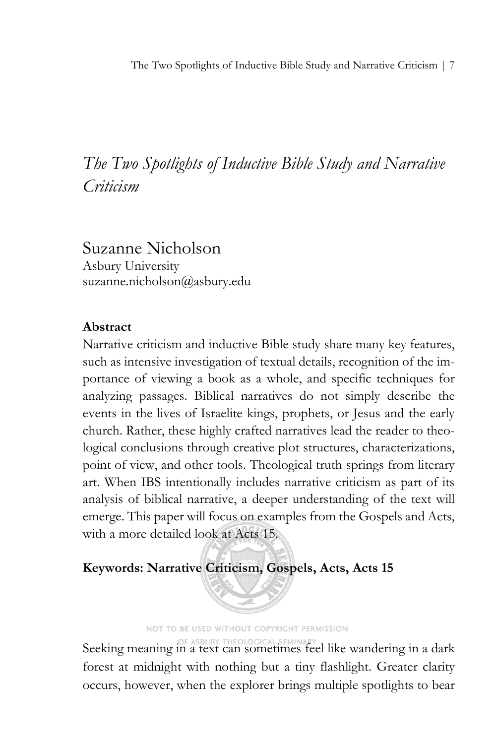*The Two Spotlights of Inductive Bible Study and Narrative Criticism*

Suzanne Nicholson Asbury University suzanne.nicholson@asbury.edu

### **Abstract**

Narrative criticism and inductive Bible study share many key features, such as intensive investigation of textual details, recognition of the importance of viewing a book as a whole, and specific techniques for analyzing passages. Biblical narratives do not simply describe the events in the lives of Israelite kings, prophets, or Jesus and the early church. Rather, these highly crafted narratives lead the reader to theological conclusions through creative plot structures, characterizations, point of view, and other tools. Theological truth springs from literary art. When IBS intentionally includes narrative criticism as part of its analysis of biblical narrative, a deeper understanding of the text will emerge. This paper will focus on examples from the Gospels and Acts, with a more detailed look at Acts 15.

## **Keywords: Narrative Criticism, Gospels, Acts, Acts 15**

NOT TO BE USED WITHOUT COPYRIGHT PERMISSION

Seeking meaning in a text can sometimes feel like wandering in a dark forest at midnight with nothing but a tiny flashlight. Greater clarity occurs, however, when the explorer brings multiple spotlights to bear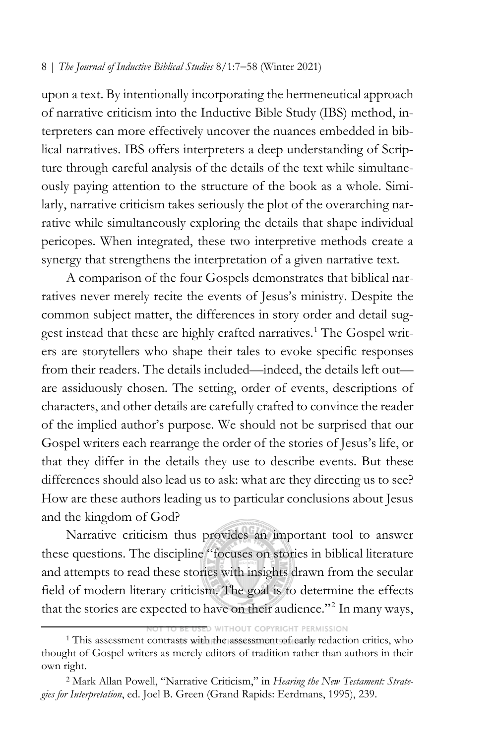upon a text. By intentionally incorporating the hermeneutical approach of narrative criticism into the Inductive Bible Study (IBS) method, interpreters can more effectively uncover the nuances embedded in biblical narratives. IBS offers interpreters a deep understanding of Scripture through careful analysis of the details of the text while simultaneously paying attention to the structure of the book as a whole. Similarly, narrative criticism takes seriously the plot of the overarching narrative while simultaneously exploring the details that shape individual pericopes. When integrated, these two interpretive methods create a synergy that strengthens the interpretation of a given narrative text.

A comparison of the four Gospels demonstrates that biblical narratives never merely recite the events of Jesus's ministry. Despite the common subject matter, the differences in story order and detail suggest instead that these are highly crafted narratives. [1](#page-1-0) The Gospel writers are storytellers who shape their tales to evoke specific responses from their readers. The details included—indeed, the details left out are assiduously chosen. The setting, order of events, descriptions of characters, and other details are carefully crafted to convince the reader of the implied author's purpose. We should not be surprised that our Gospel writers each rearrange the order of the stories of Jesus's life, or that they differ in the details they use to describe events. But these differences should also lead us to ask: what are they directing us to see? How are these authors leading us to particular conclusions about Jesus and the kingdom of God?

Narrative criticism thus provides an important tool to answer these questions. The discipline "focuses on stories in biblical literature and attempts to read these stories with insights drawn from the secular field of modern literary criticism. The goal is to determine the effects that the stories are expected to have on their audience."[2](#page-1-1) In many ways,

ED WITHOUT COPYRIGHT PERMISSION

<span id="page-1-0"></span><sup>&</sup>lt;sup>1</sup> This assessment contrasts with the assessment of early redaction critics, who thought of Gospel writers as merely editors of tradition rather than authors in their own right.

<span id="page-1-1"></span><sup>2</sup> Mark Allan Powell, "Narrative Criticism," in *Hearing the New Testament: Strategies for Interpretation*, ed. Joel B. Green (Grand Rapids: Eerdmans, 1995), 239.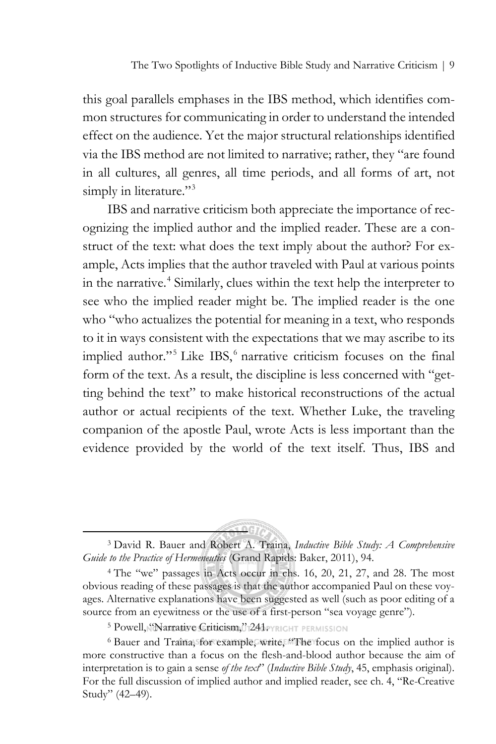this goal parallels emphases in the IBS method, which identifies common structures for communicating in order to understand the intended effect on the audience. Yet the major structural relationships identified via the IBS method are not limited to narrative; rather, they "are found in all cultures, all genres, all time periods, and all forms of art, not simply in literature."<sup>[3](#page-2-0)</sup>

IBS and narrative criticism both appreciate the importance of recognizing the implied author and the implied reader. These are a construct of the text: what does the text imply about the author? For example, Acts implies that the author traveled with Paul at various points in the narrative.<sup>[4](#page-2-1)</sup> Similarly, clues within the text help the interpreter to see who the implied reader might be. The implied reader is the one who "who actualizes the potential for meaning in a text, who responds to it in ways consistent with the expectations that we may ascribe to its implied author."<sup>[5](#page-2-2)</sup> Like IBS, <sup>[6](#page-2-3)</sup> narrative criticism focuses on the final form of the text. As a result, the discipline is less concerned with "getting behind the text" to make historical reconstructions of the actual author or actual recipients of the text. Whether Luke, the traveling companion of the apostle Paul, wrote Acts is less important than the evidence provided by the world of the text itself. Thus, IBS and

<span id="page-2-0"></span>

<sup>3</sup> David R. Bauer and Robert A. Traina, *Inductive Bible Study: A Comprehensive Guide to the Practice of Hermeneutics* (Grand Rapids: Baker, 2011), 94.

<span id="page-2-1"></span><sup>4</sup> The "we" passages in Acts occur in chs. 16, 20, 21, 27, and 28. The most obvious reading of these passages is that the author accompanied Paul on these voyages. Alternative explanations have been suggested as well (such as poor editing of a source from an eyewitness or the use of a first-person "sea voyage genre").

<sup>5</sup> Powell, Sarrative Criticism, 7241 PYRIGHT PERMISSION

<span id="page-2-3"></span><span id="page-2-2"></span><sup>6</sup> Bauer and Traina, for example, write, "The focus on the implied author is more constructive than a focus on the flesh-and-blood author because the aim of interpretation is to gain a sense *of the text*" (*Inductive Bible Study*, 45, emphasis original). For the full discussion of implied author and implied reader, see ch. 4, "Re-Creative Study" (42–49).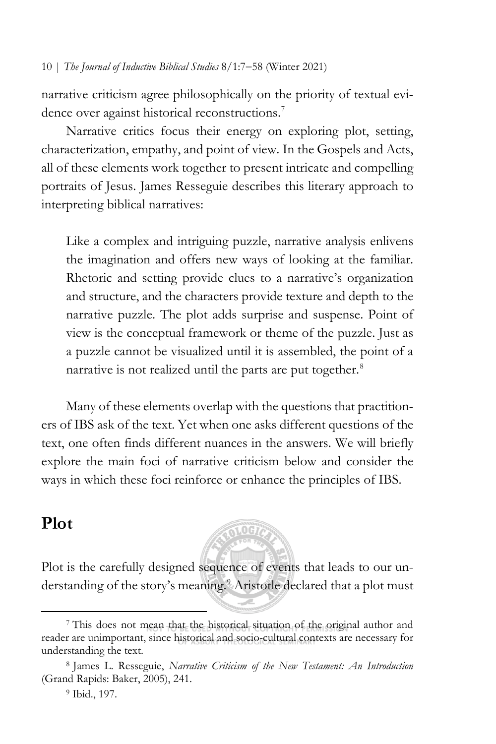narrative criticism agree philosophically on the priority of textual evi-dence over against historical reconstructions.<sup>[7](#page-3-0)</sup>

Narrative critics focus their energy on exploring plot, setting, characterization, empathy, and point of view. In the Gospels and Acts, all of these elements work together to present intricate and compelling portraits of Jesus. James Resseguie describes this literary approach to interpreting biblical narratives:

Like a complex and intriguing puzzle, narrative analysis enlivens the imagination and offers new ways of looking at the familiar. Rhetoric and setting provide clues to a narrative's organization and structure, and the characters provide texture and depth to the narrative puzzle. The plot adds surprise and suspense. Point of view is the conceptual framework or theme of the puzzle. Just as a puzzle cannot be visualized until it is assembled, the point of a narrative is not realized until the parts are put together.<sup>[8](#page-3-1)</sup>

Many of these elements overlap with the questions that practitioners of IBS ask of the text. Yet when one asks different questions of the text, one often finds different nuances in the answers. We will briefly explore the main foci of narrative criticism below and consider the ways in which these foci reinforce or enhance the principles of IBS.

# **Plot**

Plot is the carefully designed sequence of events that leads to our un-derstanding of the story's meaning.<sup>[9](#page-3-2)</sup> Aristotle declared that a plot must

**SLOG7** 

<span id="page-3-0"></span><sup>7</sup> This does not mean that the historical situation of the original author and reader are unimportant, since historical and socio-cultural contexts are necessary for understanding the text.

<span id="page-3-2"></span><span id="page-3-1"></span><sup>8</sup> James L. Resseguie, *Narrative Criticism of the New Testament: An Introduction* (Grand Rapids: Baker, 2005), 241.

<sup>9</sup> Ibid., 197.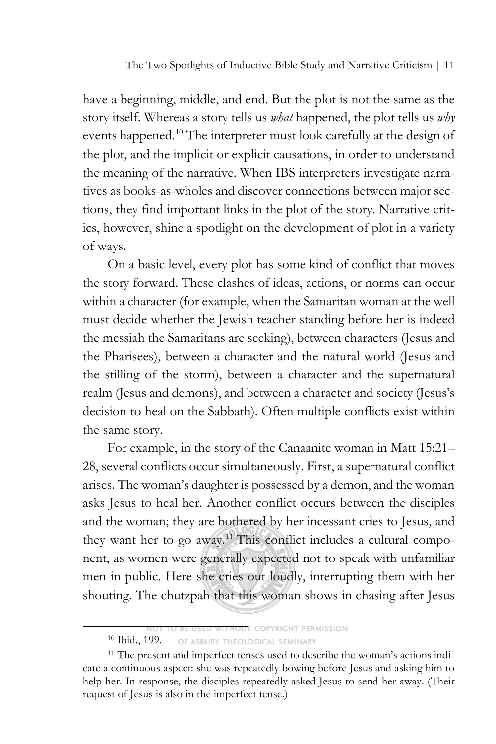have a beginning, middle, and end. But the plot is not the same as the story itself. Whereas a story tells us *what* happened, the plot tells us *why* events happened.<sup>[10](#page-4-0)</sup> The interpreter must look carefully at the design of the plot, and the implicit or explicit causations, in order to understand the meaning of the narrative. When IBS interpreters investigate narratives as books-as-wholes and discover connections between major sections, they find important links in the plot of the story. Narrative critics, however, shine a spotlight on the development of plot in a variety of ways.

On a basic level, every plot has some kind of conflict that moves the story forward. These clashes of ideas, actions, or norms can occur within a character (for example, when the Samaritan woman at the well must decide whether the Jewish teacher standing before her is indeed the messiah the Samaritans are seeking), between characters (Jesus and the Pharisees), between a character and the natural world (Jesus and the stilling of the storm), between a character and the supernatural realm (Jesus and demons), and between a character and society (Jesus's decision to heal on the Sabbath). Often multiple conflicts exist within the same story.

For example, in the story of the Canaanite woman in Matt 15:21– 28, several conflicts occur simultaneously. First, a supernatural conflict arises. The woman's daughter is possessed by a demon, and the woman asks Jesus to heal her. Another conflict occurs between the disciples and the woman; they are bothered by her incessant cries to Jesus, and they want her to go away.<sup>[11](#page-4-1)</sup> This conflict includes a cultural component, as women were generally expected not to speak with unfamiliar men in public. Here she cries out loudly, interrupting them with her shouting. The chutzpah that this woman shows in chasing after Jesus

**THE COPYRIGHT PERMISSION** 

<sup>10</sup> Ibid., 199. OF ASBURY THEOLOGICAL SEMINARY

<span id="page-4-1"></span><span id="page-4-0"></span><sup>11</sup> The present and imperfect tenses used to describe the woman's actions indicate a continuous aspect: she was repeatedly bowing before Jesus and asking him to help her. In response, the disciples repeatedly asked Jesus to send her away. (Their request of Jesus is also in the imperfect tense.)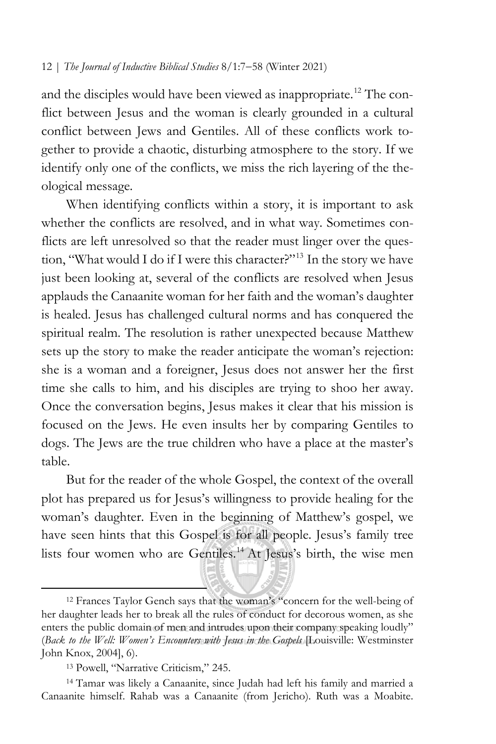and the disciples would have been viewed as inappropriate.<sup>[12](#page-5-0)</sup> The conflict between Jesus and the woman is clearly grounded in a cultural conflict between Jews and Gentiles. All of these conflicts work together to provide a chaotic, disturbing atmosphere to the story. If we identify only one of the conflicts, we miss the rich layering of the theological message.

When identifying conflicts within a story, it is important to ask whether the conflicts are resolved, and in what way. Sometimes conflicts are left unresolved so that the reader must linger over the question, "What would I do if I were this character?"[13](#page-5-1) In the story we have just been looking at, several of the conflicts are resolved when Jesus applauds the Canaanite woman for her faith and the woman's daughter is healed. Jesus has challenged cultural norms and has conquered the spiritual realm. The resolution is rather unexpected because Matthew sets up the story to make the reader anticipate the woman's rejection: she is a woman and a foreigner, Jesus does not answer her the first time she calls to him, and his disciples are trying to shoo her away. Once the conversation begins, Jesus makes it clear that his mission is focused on the Jews. He even insults her by comparing Gentiles to dogs. The Jews are the true children who have a place at the master's table.

But for the reader of the whole Gospel, the context of the overall plot has prepared us for Jesus's willingness to provide healing for the woman's daughter. Even in the beginning of Matthew's gospel, we have seen hints that this Gospel is for all people. Jesus's family tree lists four women who are Gentiles.<sup>[14](#page-5-2)</sup> At Jesus's birth, the wise men

<span id="page-5-0"></span><sup>12</sup> Frances Taylor Gench says that the woman's "concern for the well-being of her daughter leads her to break all the rules of conduct for decorous women, as she enters the public domain of men and intrudes upon their company speaking loudly" (*Back to the Well: Women's Encounters with Jesus in the Gospels* [Louisville: Westminster John Knox, 2004], 6).

<sup>13</sup> Powell, "Narrative Criticism," 245.

<span id="page-5-2"></span><span id="page-5-1"></span><sup>14</sup> Tamar was likely a Canaanite, since Judah had left his family and married a Canaanite himself. Rahab was a Canaanite (from Jericho). Ruth was a Moabite.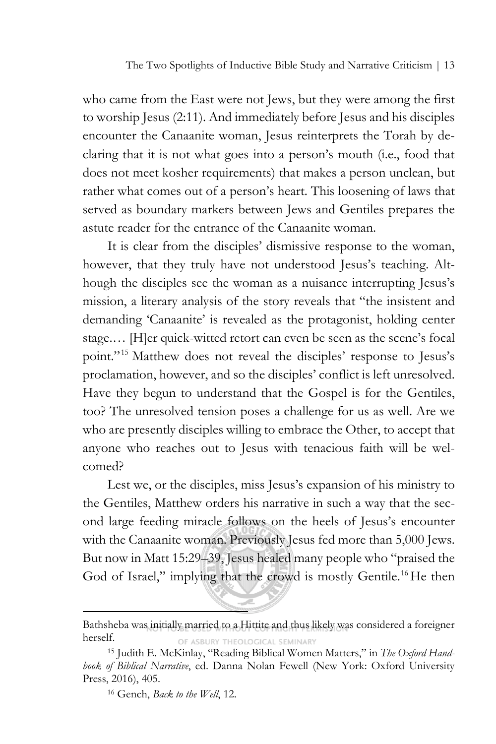who came from the East were not Jews, but they were among the first to worship Jesus (2:11). And immediately before Jesus and his disciples encounter the Canaanite woman, Jesus reinterprets the Torah by declaring that it is not what goes into a person's mouth (i.e., food that does not meet kosher requirements) that makes a person unclean, but rather what comes out of a person's heart. This loosening of laws that served as boundary markers between Jews and Gentiles prepares the astute reader for the entrance of the Canaanite woman.

It is clear from the disciples' dismissive response to the woman, however, that they truly have not understood Jesus's teaching. Although the disciples see the woman as a nuisance interrupting Jesus's mission, a literary analysis of the story reveals that "the insistent and demanding 'Canaanite' is revealed as the protagonist, holding center stage.… [H]er quick-witted retort can even be seen as the scene's focal point."[15](#page-6-0) Matthew does not reveal the disciples' response to Jesus's proclamation, however, and so the disciples' conflict is left unresolved. Have they begun to understand that the Gospel is for the Gentiles, too? The unresolved tension poses a challenge for us as well. Are we who are presently disciples willing to embrace the Other, to accept that anyone who reaches out to Jesus with tenacious faith will be welcomed?

Lest we, or the disciples, miss Jesus's expansion of his ministry to the Gentiles, Matthew orders his narrative in such a way that the second large feeding miracle follows on the heels of Jesus's encounter with the Canaanite woman. Previously Jesus fed more than 5,000 Jews. But now in Matt 15:29–39, Jesus healed many people who "praised the God of Israel," implying that the crowd is mostly Gentile.<sup>[16](#page-6-1)</sup> He then

Bathsheba was initially married to a Hittite and thus likely was considered a foreigner herself. OF ASBURY THEOLOGICAL SEMINARY

<span id="page-6-1"></span><span id="page-6-0"></span><sup>15</sup> Judith E. McKinlay, "Reading Biblical Women Matters," in *The Oxford Handbook of Biblical Narrative*, ed. Danna Nolan Fewell (New York: Oxford University Press, 2016), 405.

<sup>16</sup> Gench, *Back to the Well*, 12.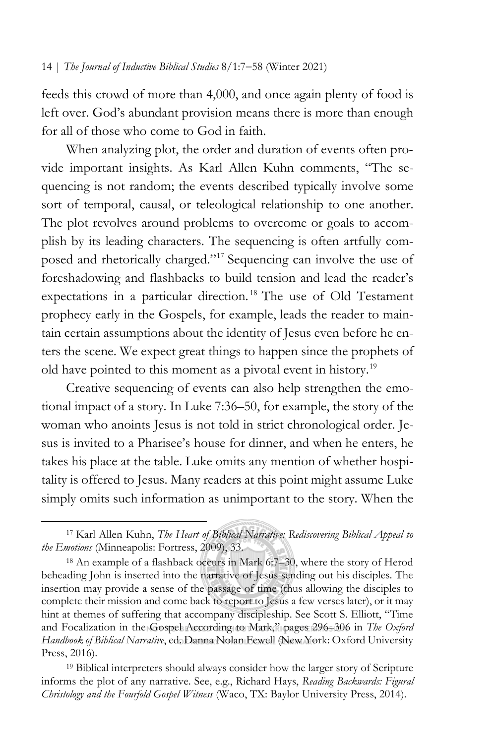feeds this crowd of more than 4,000, and once again plenty of food is left over. God's abundant provision means there is more than enough for all of those who come to God in faith.

When analyzing plot, the order and duration of events often provide important insights. As Karl Allen Kuhn comments, "The sequencing is not random; the events described typically involve some sort of temporal, causal, or teleological relationship to one another. The plot revolves around problems to overcome or goals to accomplish by its leading characters. The sequencing is often artfully composed and rhetorically charged."[17](#page-7-0) Sequencing can involve the use of foreshadowing and flashbacks to build tension and lead the reader's expectations in a particular direction.<sup>[18](#page-7-1)</sup> The use of Old Testament prophecy early in the Gospels, for example, leads the reader to maintain certain assumptions about the identity of Jesus even before he enters the scene. We expect great things to happen since the prophets of old have pointed to this moment as a pivotal event in history.[19](#page-7-2)

Creative sequencing of events can also help strengthen the emotional impact of a story. In Luke 7:36–50, for example, the story of the woman who anoints Jesus is not told in strict chronological order. Jesus is invited to a Pharisee's house for dinner, and when he enters, he takes his place at the table. Luke omits any mention of whether hospitality is offered to Jesus. Many readers at this point might assume Luke simply omits such information as unimportant to the story. When the

<span id="page-7-0"></span><sup>17</sup> Karl Allen Kuhn, *The Heart of Biblical Narrative: Rediscovering Biblical Appeal to the Emotions* (Minneapolis: Fortress, 2009), 33.

<span id="page-7-1"></span><sup>18</sup> An example of a flashback occurs in Mark 6:7–30, where the story of Herod beheading John is inserted into the narrative of Jesus sending out his disciples. The insertion may provide a sense of the passage of time (thus allowing the disciples to complete their mission and come back to report to Jesus a few verses later), or it may hint at themes of suffering that accompany discipleship. See Scott S. Elliott, "Time and Focalization in the Gospel According to Mark," pages 296–306 in *The Oxford Handbook of Biblical Narrative*, ed. Danna Nolan Fewell (New York: Oxford University Press, 2016).

<span id="page-7-2"></span><sup>19</sup> Biblical interpreters should always consider how the larger story of Scripture informs the plot of any narrative. See, e.g., Richard Hays, *Reading Backwards: Figural Christology and the Fourfold Gospel Witness* (Waco, TX: Baylor University Press, 2014).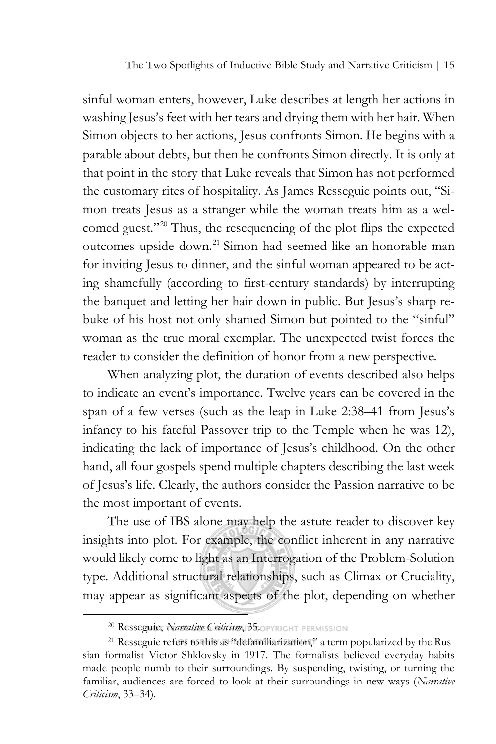The Two Spotlights of Inductive Bible Study and Narrative Criticism | 15

sinful woman enters, however, Luke describes at length her actions in washing Jesus's feet with her tears and drying them with her hair. When Simon objects to her actions, Jesus confronts Simon. He begins with a parable about debts, but then he confronts Simon directly. It is only at that point in the story that Luke reveals that Simon has not performed the customary rites of hospitality. As James Resseguie points out, "Simon treats Jesus as a stranger while the woman treats him as a wel-comed guest."<sup>[20](#page-8-0)</sup> Thus, the resequencing of the plot flips the expected outcomes upside down.<sup>[21](#page-8-1)</sup> Simon had seemed like an honorable man for inviting Jesus to dinner, and the sinful woman appeared to be acting shamefully (according to first-century standards) by interrupting the banquet and letting her hair down in public. But Jesus's sharp rebuke of his host not only shamed Simon but pointed to the "sinful" woman as the true moral exemplar. The unexpected twist forces the reader to consider the definition of honor from a new perspective.

When analyzing plot, the duration of events described also helps to indicate an event's importance. Twelve years can be covered in the span of a few verses (such as the leap in Luke 2:38–41 from Jesus's infancy to his fateful Passover trip to the Temple when he was 12), indicating the lack of importance of Jesus's childhood. On the other hand, all four gospels spend multiple chapters describing the last week of Jesus's life. Clearly, the authors consider the Passion narrative to be the most important of events.

The use of IBS alone may help the astute reader to discover key insights into plot. For example, the conflict inherent in any narrative would likely come to light as an Interrogation of the Problem-Solution type. Additional structural relationships, such as Climax or Cruciality, may appear as significant aspects of the plot, depending on whether

<sup>20</sup> Resseguie, *Narrative Criticism*, 35. OPYRIGHT PERMISSION

<span id="page-8-1"></span><span id="page-8-0"></span><sup>21</sup> Resseguie refers to this as "defamiliarization," a term popularized by the Russian formalist Victor Shklovsky in 1917. The formalists believed everyday habits made people numb to their surroundings. By suspending, twisting, or turning the familiar, audiences are forced to look at their surroundings in new ways (*Narrative Criticism*, 33–34).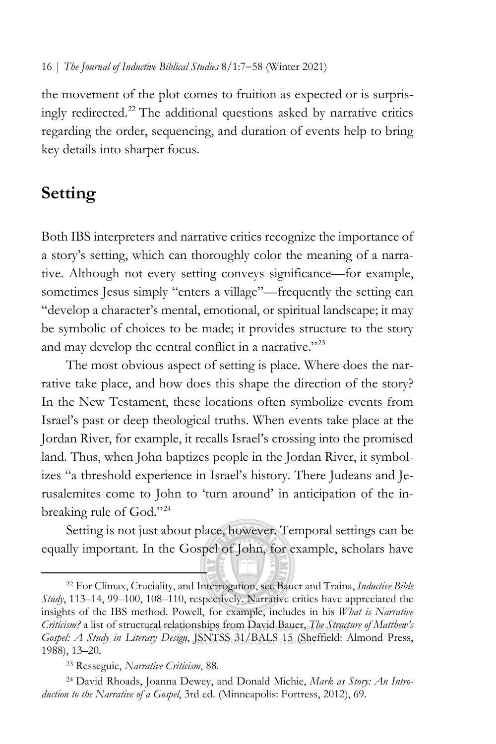the movement of the plot comes to fruition as expected or is surprisingly redirected.[22](#page-9-0) The additional questions asked by narrative critics regarding the order, sequencing, and duration of events help to bring key details into sharper focus.

# **Setting**

Both IBS interpreters and narrative critics recognize the importance of a story's setting, which can thoroughly color the meaning of a narrative. Although not every setting conveys significance—for example, sometimes Jesus simply "enters a village"—frequently the setting can "develop a character's mental, emotional, or spiritual landscape; it may be symbolic of choices to be made; it provides structure to the story and may develop the central conflict in a narrative."[23](#page-9-1)

The most obvious aspect of setting is place. Where does the narrative take place, and how does this shape the direction of the story? In the New Testament, these locations often symbolize events from Israel's past or deep theological truths. When events take place at the Jordan River, for example, it recalls Israel's crossing into the promised land. Thus, when John baptizes people in the Jordan River, it symbolizes "a threshold experience in Israel's history. There Judeans and Jerusalemites come to John to 'turn around' in anticipation of the inbreaking rule of God."[24](#page-9-2)

Setting is not just about place, however. Temporal settings can be equally important. In the Gospel of John, for example, scholars have

<span id="page-9-0"></span><sup>22</sup> For Climax, Cruciality, and Interrogation, see Bauer and Traina, *Inductive Bible Study*, 113–14, 99–100, 108–110, respectively. Narrative critics have appreciated the insights of the IBS method. Powell, for example, includes in his *What is Narrative Criticism?* a list of structural relationships from David Bauer, *The Structure of Matthew's Gospel: A Study in Literary Design*, JSNTSS 31/BALS 15 (Sheffield: Almond Press, 1988), 13–20.

<sup>23</sup> Resseguie, *Narrative Criticism*, 88.

<span id="page-9-2"></span><span id="page-9-1"></span><sup>24</sup> David Rhoads, Joanna Dewey, and Donald Michie, *Mark as Story: An Introduction to the Narrative of a Gospel*, 3rd ed. (Minneapolis: Fortress, 2012), 69.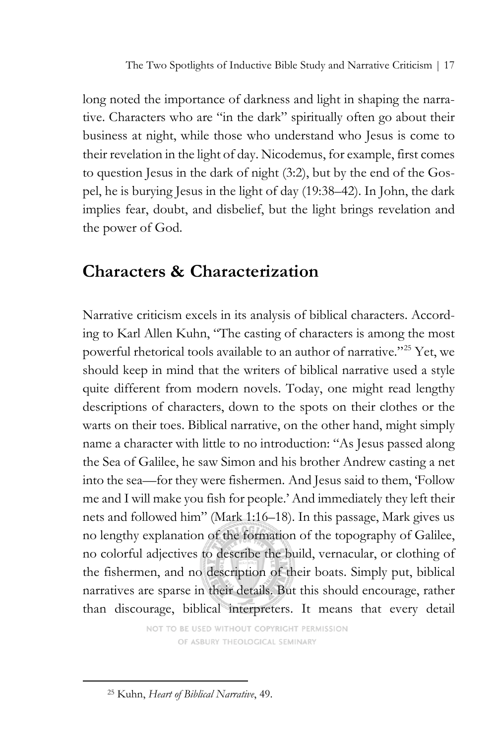The Two Spotlights of Inductive Bible Study and Narrative Criticism | 17

long noted the importance of darkness and light in shaping the narrative. Characters who are "in the dark" spiritually often go about their business at night, while those who understand who Jesus is come to their revelation in the light of day. Nicodemus, for example, first comes to question Jesus in the dark of night (3:2), but by the end of the Gospel, he is burying Jesus in the light of day (19:38–42). In John, the dark implies fear, doubt, and disbelief, but the light brings revelation and the power of God.

# **Characters & Characterization**

Narrative criticism excels in its analysis of biblical characters. According to Karl Allen Kuhn, "The casting of characters is among the most powerful rhetorical tools available to an author of narrative."[25](#page-10-0) Yet, we should keep in mind that the writers of biblical narrative used a style quite different from modern novels. Today, one might read lengthy descriptions of characters, down to the spots on their clothes or the warts on their toes. Biblical narrative, on the other hand, might simply name a character with little to no introduction: "As Jesus passed along the Sea of Galilee, he saw Simon and his brother Andrew casting a net into the sea—for they were fishermen. And Jesus said to them, 'Follow me and I will make you fish for people.' And immediately they left their nets and followed him" (Mark 1:16–18). In this passage, Mark gives us no lengthy explanation of the formation of the topography of Galilee, no colorful adjectives to describe the build, vernacular, or clothing of the fishermen, and no description of their boats. Simply put, biblical narratives are sparse in their details. But this should encourage, rather than discourage, biblical interpreters. It means that every detail

> NOT TO BE USED WITHOUT COPYRIGHT PERMISSION OF ASBURY THEOLOGICAL SEMINARY

<span id="page-10-0"></span><sup>25</sup> Kuhn, *Heart of Biblical Narrative*, 49.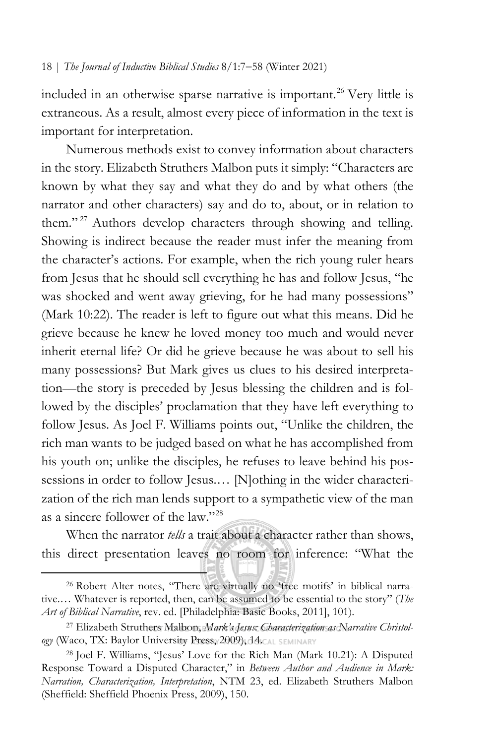included in an otherwise sparse narrative is important.<sup>[26](#page-11-0)</sup> Very little is extraneous. As a result, almost every piece of information in the text is important for interpretation.

Numerous methods exist to convey information about characters in the story. Elizabeth Struthers Malbon puts it simply: "Characters are known by what they say and what they do and by what others (the narrator and other characters) say and do to, about, or in relation to them."<sup>[27](#page-11-1)</sup> Authors develop characters through showing and telling. Showing is indirect because the reader must infer the meaning from the character's actions. For example, when the rich young ruler hears from Jesus that he should sell everything he has and follow Jesus, "he was shocked and went away grieving, for he had many possessions" (Mark 10:22). The reader is left to figure out what this means. Did he grieve because he knew he loved money too much and would never inherit eternal life? Or did he grieve because he was about to sell his many possessions? But Mark gives us clues to his desired interpretation—the story is preceded by Jesus blessing the children and is followed by the disciples' proclamation that they have left everything to follow Jesus. As Joel F. Williams points out, "Unlike the children, the rich man wants to be judged based on what he has accomplished from his youth on; unlike the disciples, he refuses to leave behind his possessions in order to follow Jesus.… [N]othing in the wider characterization of the rich man lends support to a sympathetic view of the man as a sincere follower of the law."[28](#page-11-2)

When the narrator *tells* a trait about a character rather than shows, this direct presentation leaves no room for inference: "What the

<span id="page-11-0"></span><sup>26</sup> Robert Alter notes, "There are virtually no 'free motifs' in biblical narrative.… Whatever is reported, then, can be assumed to be essential to the story" (*The Art of Biblical Narrative*, rev. ed. [Philadelphia: Basic Books, 2011], 101).

<span id="page-11-1"></span><sup>27</sup> Elizabeth Struthers Malbon, *Mark's Jesus: Characterization as Narrative Christol***ogy** (Waco, TX: Baylor University Press, 2009), 14. CAL SEMINARY

<span id="page-11-2"></span><sup>28</sup> Joel F. Williams, "Jesus' Love for the Rich Man (Mark 10.21): A Disputed Response Toward a Disputed Character," in *Between Author and Audience in Mark: Narration, Characterization, Interpretation*, NTM 23, ed. Elizabeth Struthers Malbon (Sheffield: Sheffield Phoenix Press, 2009), 150.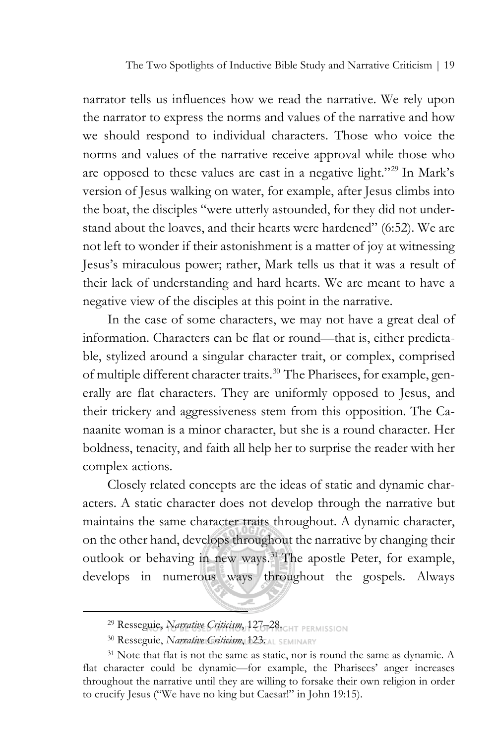The Two Spotlights of Inductive Bible Study and Narrative Criticism | 19

narrator tells us influences how we read the narrative. We rely upon the narrator to express the norms and values of the narrative and how we should respond to individual characters. Those who voice the norms and values of the narrative receive approval while those who are opposed to these values are cast in a negative light."<sup>[29](#page-12-0)</sup> In Mark's version of Jesus walking on water, for example, after Jesus climbs into the boat, the disciples "were utterly astounded, for they did not understand about the loaves, and their hearts were hardened" (6:52). We are not left to wonder if their astonishment is a matter of joy at witnessing Jesus's miraculous power; rather, Mark tells us that it was a result of their lack of understanding and hard hearts. We are meant to have a negative view of the disciples at this point in the narrative.

In the case of some characters, we may not have a great deal of information. Characters can be flat or round—that is, either predictable, stylized around a singular character trait, or complex, comprised of multiple different character traits.<sup>[30](#page-12-1)</sup> The Pharisees, for example, generally are flat characters. They are uniformly opposed to Jesus, and their trickery and aggressiveness stem from this opposition. The Canaanite woman is a minor character, but she is a round character. Her boldness, tenacity, and faith all help her to surprise the reader with her complex actions.

Closely related concepts are the ideas of static and dynamic characters. A static character does not develop through the narrative but maintains the same character traits throughout. A dynamic character, on the other hand, develops throughout the narrative by changing their outlook or behaving in new ways.<sup>[31](#page-12-2)</sup> The apostle Peter, for example, develops in numerous ways throughout the gospels. Always

<sup>29</sup> Resseguie, *Narrative Criticism*, 127-28. CHT PERMISSION

<sup>30</sup> Resseguie, *Narrative Criticism*, 123. AL SEMINARY

<span id="page-12-2"></span><span id="page-12-1"></span><span id="page-12-0"></span><sup>&</sup>lt;sup>31</sup> Note that flat is not the same as static, nor is round the same as dynamic. A flat character could be dynamic—for example, the Pharisees' anger increases throughout the narrative until they are willing to forsake their own religion in order to crucify Jesus ("We have no king but Caesar!" in John 19:15).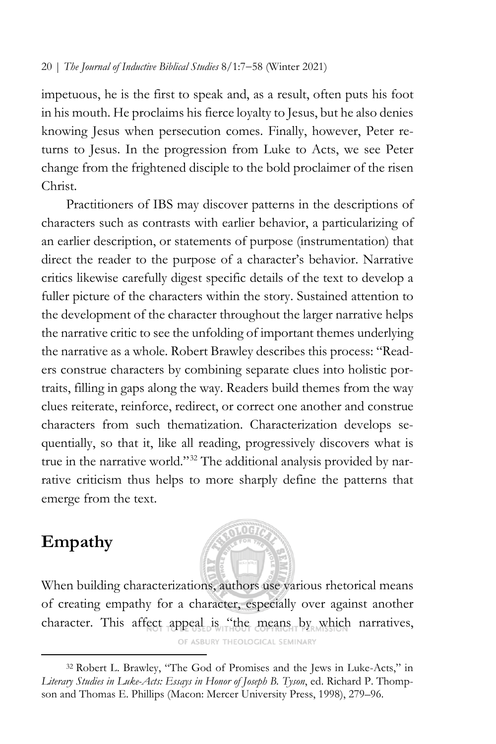impetuous, he is the first to speak and, as a result, often puts his foot in his mouth. He proclaims his fierce loyalty to Jesus, but he also denies knowing Jesus when persecution comes. Finally, however, Peter returns to Jesus. In the progression from Luke to Acts, we see Peter change from the frightened disciple to the bold proclaimer of the risen Christ.

Practitioners of IBS may discover patterns in the descriptions of characters such as contrasts with earlier behavior, a particularizing of an earlier description, or statements of purpose (instrumentation) that direct the reader to the purpose of a character's behavior. Narrative critics likewise carefully digest specific details of the text to develop a fuller picture of the characters within the story. Sustained attention to the development of the character throughout the larger narrative helps the narrative critic to see the unfolding of important themes underlying the narrative as a whole. Robert Brawley describes this process: "Readers construe characters by combining separate clues into holistic portraits, filling in gaps along the way. Readers build themes from the way clues reiterate, reinforce, redirect, or correct one another and construe characters from such thematization. Characterization develops sequentially, so that it, like all reading, progressively discovers what is true in the narrative world."[32](#page-13-0) The additional analysis provided by narrative criticism thus helps to more sharply define the patterns that emerge from the text.

# **Empathy**



When building characterizations, authors use various rhetorical means of creating empathy for a character, especially over against another character. This affect appeal is "the means by which narratives, OF ASBURY THEOLOGICAL SEMINARY

<span id="page-13-0"></span><sup>32</sup> Robert L. Brawley, "The God of Promises and the Jews in Luke-Acts," in *Literary Studies in Luke-Acts: Essays in Honor of Joseph B. Tyson*, ed. Richard P. Thompson and Thomas E. Phillips (Macon: Mercer University Press, 1998), 279–96.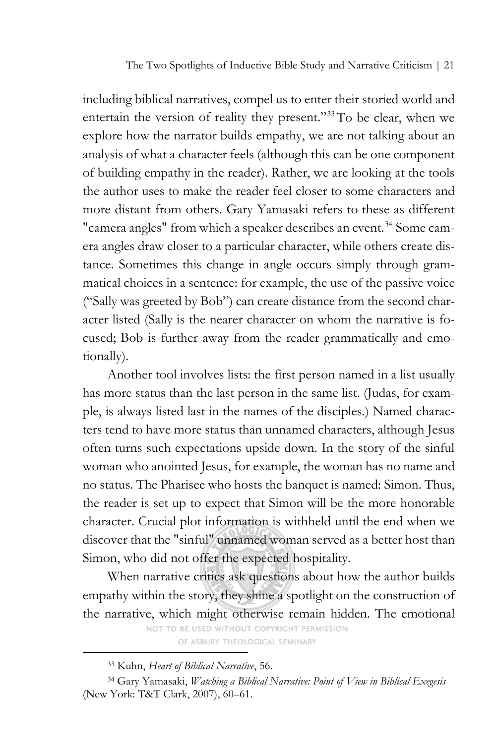The Two Spotlights of Inductive Bible Study and Narrative Criticism | 21

including biblical narratives, compel us to enter their storied world and entertain the version of reality they present."[33](#page-14-0)To be clear, when we explore how the narrator builds empathy, we are not talking about an analysis of what a character feels (although this can be one component of building empathy in the reader). Rather, we are looking at the tools the author uses to make the reader feel closer to some characters and more distant from others. Gary Yamasaki refers to these as different "camera angles" from which a speaker describes an event.<sup>[34](#page-14-1)</sup> Some camera angles draw closer to a particular character, while others create distance. Sometimes this change in angle occurs simply through grammatical choices in a sentence: for example, the use of the passive voice ("Sally was greeted by Bob") can create distance from the second character listed (Sally is the nearer character on whom the narrative is focused; Bob is further away from the reader grammatically and emotionally).

Another tool involves lists: the first person named in a list usually has more status than the last person in the same list. (Judas, for example, is always listed last in the names of the disciples.) Named characters tend to have more status than unnamed characters, although Jesus often turns such expectations upside down. In the story of the sinful woman who anointed Jesus, for example, the woman has no name and no status. The Pharisee who hosts the banquet is named: Simon. Thus, the reader is set up to expect that Simon will be the more honorable character. Crucial plot information is withheld until the end when we discover that the "sinful" unnamed woman served as a better host than Simon, who did not offer the expected hospitality.

When narrative critics ask questions about how the author builds empathy within the story, they shine a spotlight on the construction of the narrative, which might otherwise remain hidden. The emotional

NOT TO BE USED WITHOUT COPYRIGHT PERMISSION OF ASBURY THEOLOGICAL SEMINARY

<sup>33</sup> Kuhn, *Heart of Biblical Narrative*, 56.

<span id="page-14-1"></span><span id="page-14-0"></span><sup>34</sup> Gary Yamasaki, *Watching a Biblical Narrative: Point of View in Biblical Exegesis* (New York: T&T Clark, 2007), 60–61.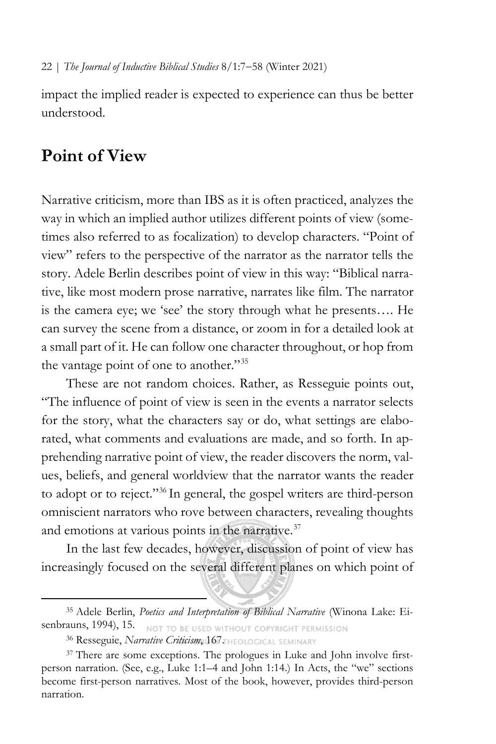impact the implied reader is expected to experience can thus be better understood.

# **Point of View**

Narrative criticism, more than IBS as it is often practiced, analyzes the way in which an implied author utilizes different points of view (sometimes also referred to as focalization) to develop characters. "Point of view" refers to the perspective of the narrator as the narrator tells the story. Adele Berlin describes point of view in this way: "Biblical narrative, like most modern prose narrative, narrates like film. The narrator is the camera eye; we 'see' the story through what he presents…. He can survey the scene from a distance, or zoom in for a detailed look at a small part of it. He can follow one character throughout, or hop from the vantage point of one to another."<sup>[35](#page-15-0)</sup>

These are not random choices. Rather, as Resseguie points out, "The influence of point of view is seen in the events a narrator selects for the story, what the characters say or do, what settings are elaborated, what comments and evaluations are made, and so forth. In apprehending narrative point of view, the reader discovers the norm, values, beliefs, and general worldview that the narrator wants the reader to adopt or to reject."[36](#page-15-1) In general, the gospel writers are third-person omniscient narrators who rove between characters, revealing thoughts and emotions at various points in the narrative. $37$ 

In the last few decades, however, discussion of point of view has increasingly focused on the several different planes on which point of

<span id="page-15-0"></span><sup>35</sup> Adele Berlin, *Poetics and Interpretation of Biblical Narrative* (Winona Lake: Eisenbrauns, 1994), 15. NOT TO BE USED WITHOUT COPYRIGHT PERMISSION

<sup>36</sup> Resseguie, *Narrative Criticism*, 167. HEOLOGICAL SEMINARY

<span id="page-15-2"></span><span id="page-15-1"></span><sup>&</sup>lt;sup>37</sup> There are some exceptions. The prologues in Luke and John involve firstperson narration. (See, e.g., Luke 1:1–4 and John 1:14.) In Acts, the "we" sections become first-person narratives. Most of the book, however, provides third-person narration.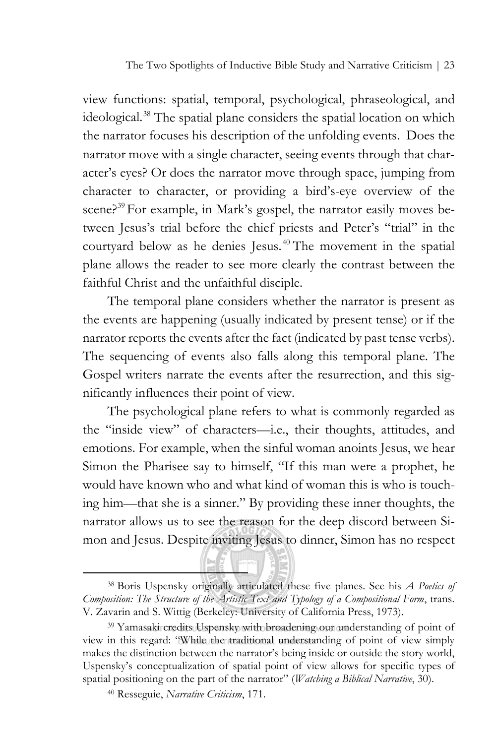The Two Spotlights of Inductive Bible Study and Narrative Criticism | 23

view functions: spatial, temporal, psychological, phraseological, and ideological.<sup>[38](#page-16-0)</sup> The spatial plane considers the spatial location on which the narrator focuses his description of the unfolding events. Does the narrator move with a single character, seeing events through that character's eyes? Or does the narrator move through space, jumping from character to character, or providing a bird's-eye overview of the scene?<sup>[39](#page-16-1)</sup> For example, in Mark's gospel, the narrator easily moves between Jesus's trial before the chief priests and Peter's "trial" in the courtyard below as he denies Jesus. [40](#page-16-2) The movement in the spatial plane allows the reader to see more clearly the contrast between the faithful Christ and the unfaithful disciple.

The temporal plane considers whether the narrator is present as the events are happening (usually indicated by present tense) or if the narrator reports the events after the fact (indicated by past tense verbs). The sequencing of events also falls along this temporal plane. The Gospel writers narrate the events after the resurrection, and this significantly influences their point of view.

The psychological plane refers to what is commonly regarded as the "inside view" of characters—i.e., their thoughts, attitudes, and emotions. For example, when the sinful woman anoints Jesus, we hear Simon the Pharisee say to himself, "If this man were a prophet, he would have known who and what kind of woman this is who is touching him—that she is a sinner." By providing these inner thoughts, the narrator allows us to see the reason for the deep discord between Simon and Jesus. Despite inviting Jesus to dinner, Simon has no respect

<span id="page-16-0"></span><sup>38</sup> Boris Uspensky originally articulated these five planes. See his *A Poetics of Composition: The Structure of the Artistic Text and Typology of a Compositional Form*, trans. V. Zavarin and S. Wittig (Berkeley: University of California Press, 1973).

<span id="page-16-2"></span><span id="page-16-1"></span><sup>39</sup> Yamasaki credits Uspensky with broadening our understanding of point of view in this regard: "While the traditional understanding of point of view simply makes the distinction between the narrator's being inside or outside the story world, Uspensky's conceptualization of spatial point of view allows for specific types of spatial positioning on the part of the narrator" (*Watching a Biblical Narrative*, 30).

<sup>40</sup> Resseguie, *Narrative Criticism*, 171.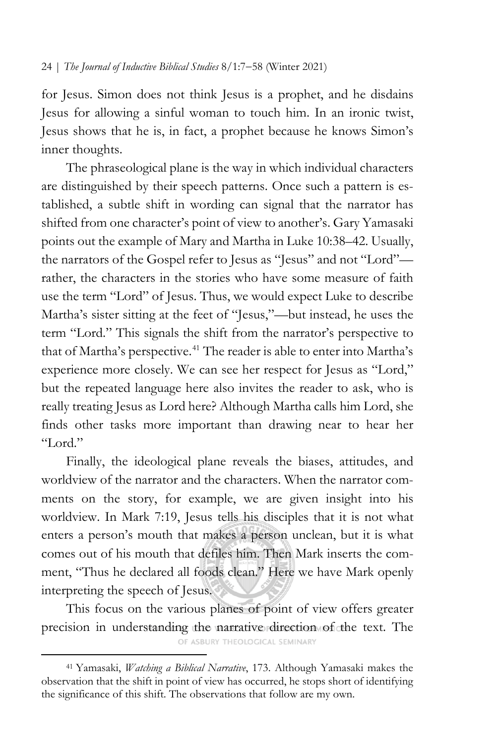for Jesus. Simon does not think Jesus is a prophet, and he disdains Jesus for allowing a sinful woman to touch him. In an ironic twist, Jesus shows that he is, in fact, a prophet because he knows Simon's inner thoughts.

The phraseological plane is the way in which individual characters are distinguished by their speech patterns. Once such a pattern is established, a subtle shift in wording can signal that the narrator has shifted from one character's point of view to another's. Gary Yamasaki points out the example of Mary and Martha in Luke 10:38–42. Usually, the narrators of the Gospel refer to Jesus as "Jesus" and not "Lord" rather, the characters in the stories who have some measure of faith use the term "Lord" of Jesus. Thus, we would expect Luke to describe Martha's sister sitting at the feet of "Jesus,"—but instead, he uses the term "Lord." This signals the shift from the narrator's perspective to that of Martha's perspective.<sup>[41](#page-17-0)</sup> The reader is able to enter into Martha's experience more closely. We can see her respect for Jesus as "Lord," but the repeated language here also invites the reader to ask, who is really treating Jesus as Lord here? Although Martha calls him Lord, she finds other tasks more important than drawing near to hear her "Lord."

Finally, the ideological plane reveals the biases, attitudes, and worldview of the narrator and the characters. When the narrator comments on the story, for example, we are given insight into his worldview. In Mark 7:19, Jesus tells his disciples that it is not what enters a person's mouth that makes a person unclean, but it is what comes out of his mouth that defiles him. Then Mark inserts the comment, "Thus he declared all foods clean." Here we have Mark openly interpreting the speech of Jesus.

This focus on the various planes of point of view offers greater precision in understanding the narrative direction of the text. The

OF ASBURY THEOLOGICAL SEMINARY

<span id="page-17-0"></span><sup>41</sup> Yamasaki, *Watching a Biblical Narrative*, 173. Although Yamasaki makes the observation that the shift in point of view has occurred, he stops short of identifying the significance of this shift. The observations that follow are my own.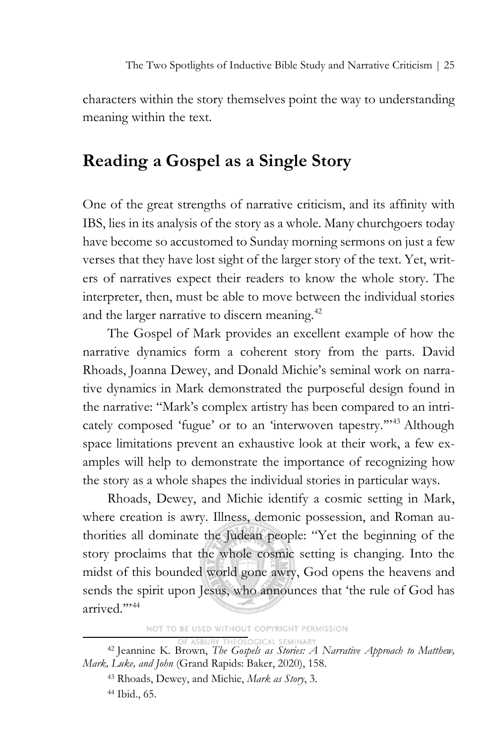characters within the story themselves point the way to understanding meaning within the text.

# **Reading a Gospel as a Single Story**

One of the great strengths of narrative criticism, and its affinity with IBS, lies in its analysis of the story as a whole. Many churchgoers today have become so accustomed to Sunday morning sermons on just a few verses that they have lost sight of the larger story of the text. Yet, writers of narratives expect their readers to know the whole story. The interpreter, then, must be able to move between the individual stories and the larger narrative to discern meaning.<sup>[42](#page-18-0)</sup>

The Gospel of Mark provides an excellent example of how the narrative dynamics form a coherent story from the parts. David Rhoads, Joanna Dewey, and Donald Michie's seminal work on narrative dynamics in Mark demonstrated the purposeful design found in the narrative: "Mark's complex artistry has been compared to an intricately composed 'fugue' or to an 'interwoven tapestry.'"[43](#page-18-1) Although space limitations prevent an exhaustive look at their work, a few examples will help to demonstrate the importance of recognizing how the story as a whole shapes the individual stories in particular ways.

Rhoads, Dewey, and Michie identify a cosmic setting in Mark, where creation is awry. Illness, demonic possession, and Roman authorities all dominate the Judean people: "Yet the beginning of the story proclaims that the whole cosmic setting is changing. Into the midst of this bounded world gone awry, God opens the heavens and sends the spirit upon Jesus, who announces that 'the rule of God has arrived."<sup>144</sup>

NOT TO BE USED WITHOUT COPYRIGHT PERMISSION

<span id="page-18-1"></span><span id="page-18-0"></span><sup>&</sup>lt;sup>42</sup> Jeannine K. Brown, *The Gospels as Stories: A Narrative Approach to Matthew, Mark, Luke, and John* (Grand Rapids: Baker, 2020), 158.

<sup>43</sup> Rhoads, Dewey, and Michie, *Mark as Story*, 3. <sup>44</sup> Ibid., 65.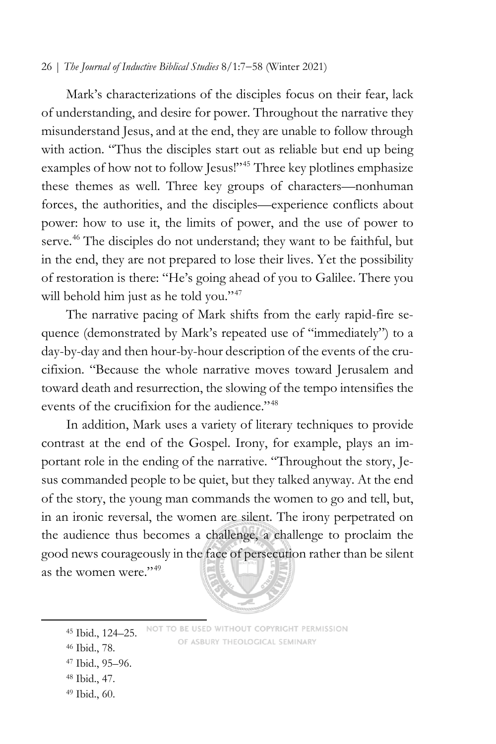Mark's characterizations of the disciples focus on their fear, lack of understanding, and desire for power. Throughout the narrative they misunderstand Jesus, and at the end, they are unable to follow through with action. "Thus the disciples start out as reliable but end up being examples of how not to follow Jesus!"<sup>[45](#page-19-0)</sup> Three key plotlines emphasize these themes as well. Three key groups of characters—nonhuman forces, the authorities, and the disciples—experience conflicts about power: how to use it, the limits of power, and the use of power to serve.<sup>[46](#page-19-1)</sup> The disciples do not understand; they want to be faithful, but in the end, they are not prepared to lose their lives. Yet the possibility of restoration is there: "He's going ahead of you to Galilee. There you will behold him just as he told you."<sup>[47](#page-19-2)</sup>

The narrative pacing of Mark shifts from the early rapid-fire sequence (demonstrated by Mark's repeated use of "immediately") to a day-by-day and then hour-by-hour description of the events of the crucifixion. "Because the whole narrative moves toward Jerusalem and toward death and resurrection, the slowing of the tempo intensifies the events of the crucifixion for the audience."<sup>[48](#page-19-3)</sup>

In addition, Mark uses a variety of literary techniques to provide contrast at the end of the Gospel. Irony, for example, plays an important role in the ending of the narrative. "Throughout the story, Jesus commanded people to be quiet, but they talked anyway. At the end of the story, the young man commands the women to go and tell, but, in an ironic reversal, the women are silent. The irony perpetrated on the audience thus becomes a challenge, a challenge to proclaim the good news courageously in the face of persecution rather than be silent as the women were."<sup>[49](#page-19-4)</sup>



<span id="page-19-4"></span><span id="page-19-3"></span><span id="page-19-2"></span><span id="page-19-1"></span><span id="page-19-0"></span>NOT TO BE USED WITHOUT COPYRIGHT PERMISSION Ibid., 124–25. OF ASBURY THEOLOGICAL SEMINARY Ibid., 78. Ibid., 95–96. Ibid., 47. Ibid., 60.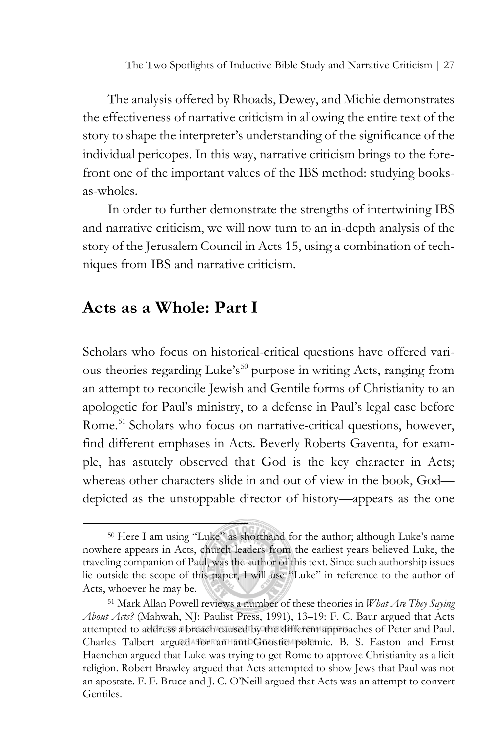The analysis offered by Rhoads, Dewey, and Michie demonstrates the effectiveness of narrative criticism in allowing the entire text of the story to shape the interpreter's understanding of the significance of the individual pericopes. In this way, narrative criticism brings to the forefront one of the important values of the IBS method: studying booksas-wholes.

In order to further demonstrate the strengths of intertwining IBS and narrative criticism, we will now turn to an in-depth analysis of the story of the Jerusalem Council in Acts 15, using a combination of techniques from IBS and narrative criticism.

# **Acts as a Whole: Part I**

Scholars who focus on historical-critical questions have offered vari-ous theories regarding Luke's<sup>[50](#page-20-0)</sup> purpose in writing Acts, ranging from an attempt to reconcile Jewish and Gentile forms of Christianity to an apologetic for Paul's ministry, to a defense in Paul's legal case before Rome.<sup>[51](#page-20-1)</sup> Scholars who focus on narrative-critical questions, however, find different emphases in Acts. Beverly Roberts Gaventa, for example, has astutely observed that God is the key character in Acts; whereas other characters slide in and out of view in the book, God depicted as the unstoppable director of history—appears as the one

<span id="page-20-0"></span><sup>50</sup> Here I am using "Luke" as shorthand for the author; although Luke's name nowhere appears in Acts, church leaders from the earliest years believed Luke, the traveling companion of Paul, was the author of this text. Since such authorship issues lie outside the scope of this paper, I will use "Luke" in reference to the author of Acts, whoever he may be.

<span id="page-20-1"></span><sup>51</sup> Mark Allan Powell reviews a number of these theories in *What Are They Saying About Acts?* (Mahwah, NJ: Paulist Press, 1991), 13–19: F. C. Baur argued that Acts attempted to address a breach caused by the different approaches of Peter and Paul. Charles Talbert argued for an anti-Gnostic polemic. B. S. Easton and Ernst Haenchen argued that Luke was trying to get Rome to approve Christianity as a licit religion. Robert Brawley argued that Acts attempted to show Jews that Paul was not an apostate. F. F. Bruce and J. C. O'Neill argued that Acts was an attempt to convert Gentiles.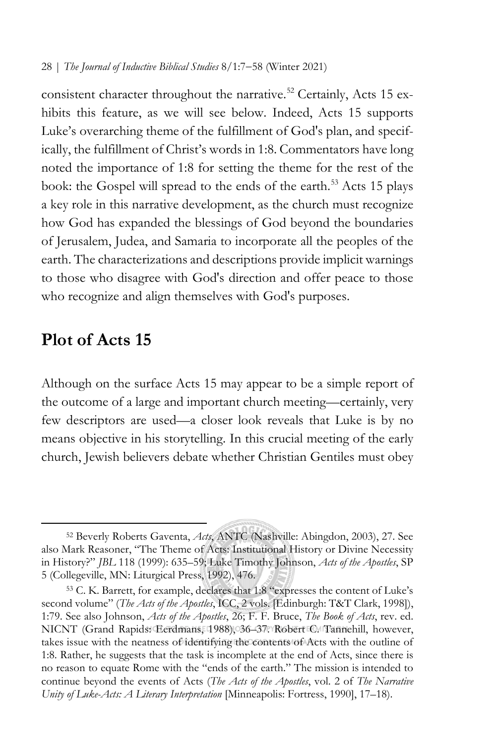consistent character throughout the narrative.<sup>[52](#page-21-0)</sup> Certainly, Acts 15 exhibits this feature, as we will see below. Indeed, Acts 15 supports Luke's overarching theme of the fulfillment of God's plan, and specifically, the fulfillment of Christ's words in 1:8. Commentators have long noted the importance of 1:8 for setting the theme for the rest of the book: the Gospel will spread to the ends of the earth.<sup>[53](#page-21-1)</sup> Acts 15 plays a key role in this narrative development, as the church must recognize how God has expanded the blessings of God beyond the boundaries of Jerusalem, Judea, and Samaria to incorporate all the peoples of the earth. The characterizations and descriptions provide implicit warnings to those who disagree with God's direction and offer peace to those who recognize and align themselves with God's purposes.

## **Plot of Acts 15**

Although on the surface Acts 15 may appear to be a simple report of the outcome of a large and important church meeting—certainly, very few descriptors are used—a closer look reveals that Luke is by no means objective in his storytelling. In this crucial meeting of the early church, Jewish believers debate whether Christian Gentiles must obey

<span id="page-21-0"></span><sup>52</sup> Beverly Roberts Gaventa, *Acts*, ANTC (Nashville: Abingdon, 2003), 27. See also Mark Reasoner, "The Theme of Acts: Institutional History or Divine Necessity in History?" *JBL* 118 (1999): 635–59; Luke Timothy Johnson, *Acts of the Apostles*, SP 5 (Collegeville, MN: Liturgical Press, 1992), 476.

<span id="page-21-1"></span><sup>53</sup> C. K. Barrett, for example, declares that 1:8 "expresses the content of Luke's second volume" (*The Acts of the Apostles*, ICC, 2 vols. [Edinburgh: T&T Clark, 1998]), 1:79. See also Johnson, *Acts of the Apostles*, 26; F. F. Bruce, *The Book of Acts*, rev. ed. NICNT (Grand Rapids: Eerdmans, 1988), 36–37. Robert C. Tannehill, however, takes issue with the neatness of identifying the contents of Acts with the outline of 1:8. Rather, he suggests that the task is incomplete at the end of Acts, since there is no reason to equate Rome with the "ends of the earth." The mission is intended to continue beyond the events of Acts (*The Acts of the Apostles*, vol. 2 of *The Narrative Unity of Luke-Acts: A Literary Interpretation* [Minneapolis: Fortress, 1990], 17–18).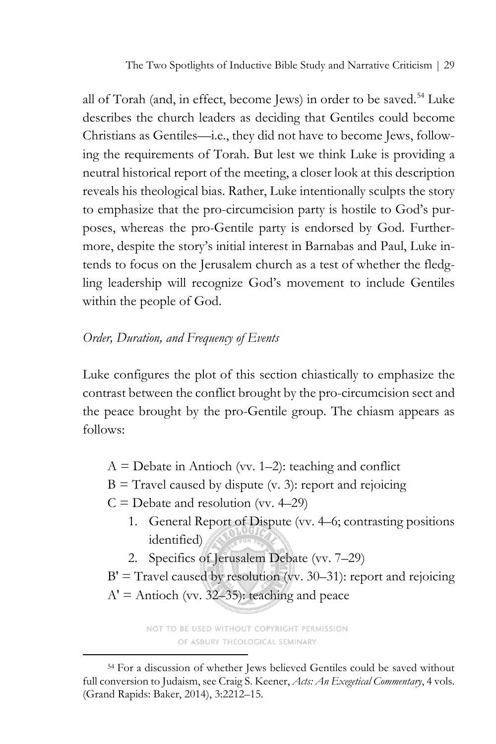The Two Spotlights of Inductive Bible Study and Narrative Criticism | 29

all of Torah (and, in effect, become Jews) in order to be saved.<sup>[54](#page-22-0)</sup> Luke describes the church leaders as deciding that Gentiles could become Christians as Gentiles—i.e., they did not have to become Jews, following the requirements of Torah. But lest we think Luke is providing a neutral historical report of the meeting, a closer look at this description reveals his theological bias. Rather, Luke intentionally sculpts the story to emphasize that the pro-circumcision party is hostile to God's purposes, whereas the pro-Gentile party is endorsed by God. Furthermore, despite the story's initial interest in Barnabas and Paul, Luke intends to focus on the Jerusalem church as a test of whether the fledgling leadership will recognize God's movement to include Gentiles within the people of God.

## *Order, Duration, and Frequency of Events*

Luke configures the plot of this section chiastically to emphasize the contrast between the conflict brought by the pro-circumcision sect and the peace brought by the pro-Gentile group. The chiasm appears as follows:

- $A =$  Debate in Antioch (vv. 1–2): teaching and conflict
- $B =$  Travel caused by dispute (v. 3): report and rejoicing
- $C =$  Debate and resolution (vv. 4–29)
	- 1. General Report of Dispute (vv. 4–6; contrasting positions identified)
	- 2. Specifics of Jerusalem Debate (vv. 7–29)
- $B' =$  Travel caused by resolution (vv. 30–31): report and rejoicing  $A' =$  Antioch (vv. 32–35): teaching and peace

NOT TO BE USED WITHOUT COPYRIGHT PERMISSION OF ASBURY THEOLOGICAL SEMINARY

<span id="page-22-0"></span><sup>54</sup> For a discussion of whether Jews believed Gentiles could be saved without full conversion to Judaism, see Craig S. Keener, *Acts: An Exegetical Commentary*, 4 vols. (Grand Rapids: Baker, 2014), 3:2212–15.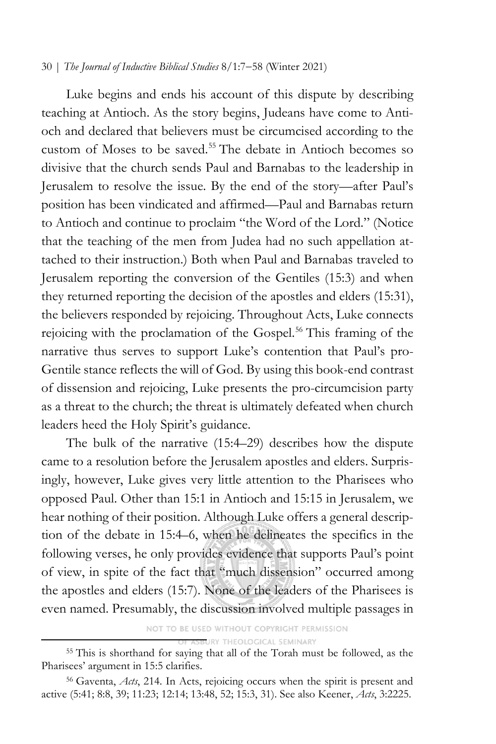Luke begins and ends his account of this dispute by describing teaching at Antioch. As the story begins, Judeans have come to Antioch and declared that believers must be circumcised according to the custom of Moses to be saved.<sup>[55](#page-23-0)</sup> The debate in Antioch becomes so divisive that the church sends Paul and Barnabas to the leadership in Jerusalem to resolve the issue. By the end of the story—after Paul's position has been vindicated and affirmed—Paul and Barnabas return to Antioch and continue to proclaim "the Word of the Lord." (Notice that the teaching of the men from Judea had no such appellation attached to their instruction.) Both when Paul and Barnabas traveled to Jerusalem reporting the conversion of the Gentiles (15:3) and when they returned reporting the decision of the apostles and elders (15:31), the believers responded by rejoicing. Throughout Acts, Luke connects rejoicing with the proclamation of the Gospel.<sup>[56](#page-23-1)</sup> This framing of the narrative thus serves to support Luke's contention that Paul's pro-Gentile stance reflects the will of God. By using this book-end contrast of dissension and rejoicing, Luke presents the pro-circumcision party as a threat to the church; the threat is ultimately defeated when church leaders heed the Holy Spirit's guidance.

The bulk of the narrative (15:4–29) describes how the dispute came to a resolution before the Jerusalem apostles and elders. Surprisingly, however, Luke gives very little attention to the Pharisees who opposed Paul. Other than 15:1 in Antioch and 15:15 in Jerusalem, we hear nothing of their position. Although Luke offers a general description of the debate in 15:4–6, when he delineates the specifics in the following verses, he only provides evidence that supports Paul's point of view, in spite of the fact that "much dissension" occurred among the apostles and elders (15:7). None of the leaders of the Pharisees is even named. Presumably, the discussion involved multiple passages in

> NOT TO BE USED WITHOUT COPYRIGHT PERMISSION URY THEOLOGICAL SEMINARY

<span id="page-23-0"></span><sup>55</sup> This is shorthand for saying that all of the Torah must be followed, as the Pharisees' argument in 15:5 clarifies.

<span id="page-23-1"></span><sup>56</sup> Gaventa, *Acts*, 214. In Acts, rejoicing occurs when the spirit is present and active (5:41; 8:8, 39; 11:23; 12:14; 13:48, 52; 15:3, 31). See also Keener, *Acts*, 3:2225.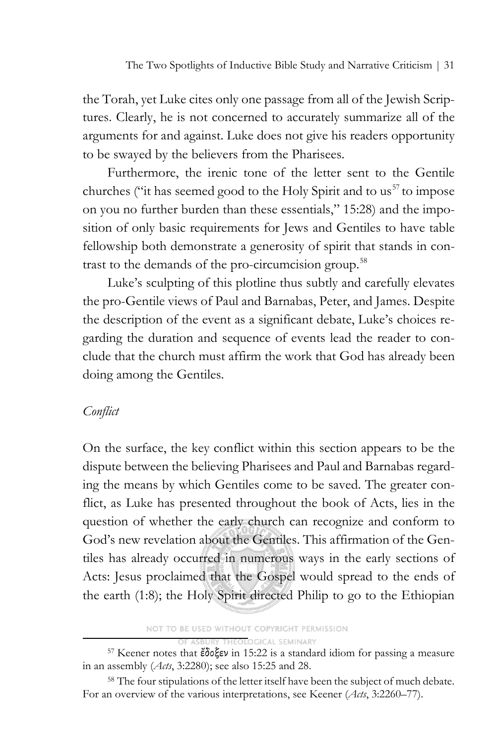the Torah, yet Luke cites only one passage from all of the Jewish Scriptures. Clearly, he is not concerned to accurately summarize all of the arguments for and against. Luke does not give his readers opportunity to be swayed by the believers from the Pharisees.

Furthermore, the irenic tone of the letter sent to the Gentile churches ("it has seemed good to the Holy Spirit and to us<sup>[57](#page-24-0)</sup> to impose on you no further burden than these essentials," 15:28) and the imposition of only basic requirements for Jews and Gentiles to have table fellowship both demonstrate a generosity of spirit that stands in con-trast to the demands of the pro-circumcision group.<sup>[58](#page-24-1)</sup>

Luke's sculpting of this plotline thus subtly and carefully elevates the pro-Gentile views of Paul and Barnabas, Peter, and James. Despite the description of the event as a significant debate, Luke's choices regarding the duration and sequence of events lead the reader to conclude that the church must affirm the work that God has already been doing among the Gentiles.

## *Conflict*

On the surface, the key conflict within this section appears to be the dispute between the believing Pharisees and Paul and Barnabas regarding the means by which Gentiles come to be saved. The greater conflict, as Luke has presented throughout the book of Acts, lies in the question of whether the early church can recognize and conform to God's new revelation about the Gentiles. This affirmation of the Gentiles has already occurred in numerous ways in the early sections of Acts: Jesus proclaimed that the Gospel would spread to the ends of the earth (1:8); the Holy Spirit directed Philip to go to the Ethiopian

NOT TO BE USED WITHOUT COPYRIGHT PERMISSION

**ASBURY THEOLOGICAL SEMINARY** 

<span id="page-24-1"></span><sup>58</sup> The four stipulations of the letter itself have been the subject of much debate. For an overview of the various interpretations, see Keener (*Acts*, 3:2260–77).

<span id="page-24-0"></span><sup>57</sup> Keener notes that ἔδοξεν in 15:22 is a standard idiom for passing a measure in an assembly (*Acts*, 3:2280); see also 15:25 and 28.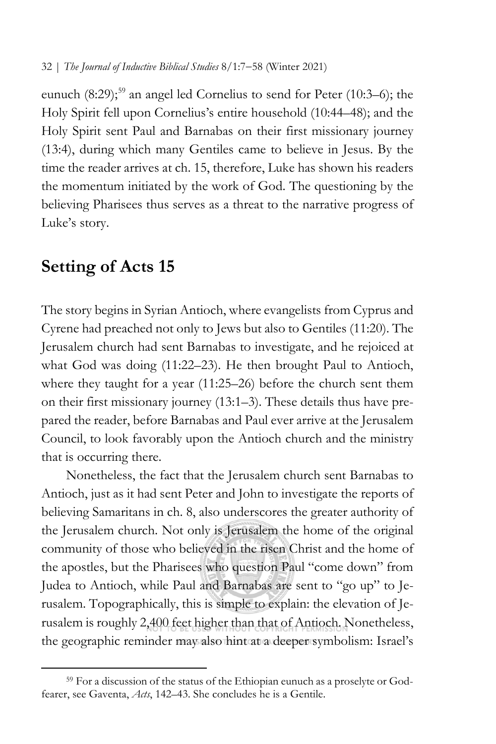eunuch  $(8:29)$ ;<sup>[59](#page-25-0)</sup> an angel led Cornelius to send for Peter  $(10:3-6)$ ; the Holy Spirit fell upon Cornelius's entire household (10:44–48); and the Holy Spirit sent Paul and Barnabas on their first missionary journey (13:4), during which many Gentiles came to believe in Jesus. By the time the reader arrives at ch. 15, therefore, Luke has shown his readers the momentum initiated by the work of God. The questioning by the believing Pharisees thus serves as a threat to the narrative progress of Luke's story.

## **Setting of Acts 15**

The story begins in Syrian Antioch, where evangelists from Cyprus and Cyrene had preached not only to Jews but also to Gentiles (11:20). The Jerusalem church had sent Barnabas to investigate, and he rejoiced at what God was doing (11:22–23). He then brought Paul to Antioch, where they taught for a year (11:25–26) before the church sent them on their first missionary journey (13:1–3). These details thus have prepared the reader, before Barnabas and Paul ever arrive at the Jerusalem Council, to look favorably upon the Antioch church and the ministry that is occurring there.

Nonetheless, the fact that the Jerusalem church sent Barnabas to Antioch, just as it had sent Peter and John to investigate the reports of believing Samaritans in ch. 8, also underscores the greater authority of the Jerusalem church. Not only is Jerusalem the home of the original community of those who believed in the risen Christ and the home of the apostles, but the Pharisees who question Paul "come down" from Judea to Antioch, while Paul and Barnabas are sent to "go up" to Jerusalem. Topographically, this is simple to explain: the elevation of Jerusalem is roughly 2,400 feet higher than that of Antioch. Nonetheless, the geographic reminder may also hint at a deeper symbolism: Israel's

<span id="page-25-0"></span><sup>59</sup> For a discussion of the status of the Ethiopian eunuch as a proselyte or Godfearer, see Gaventa, *Acts*, 142–43. She concludes he is a Gentile.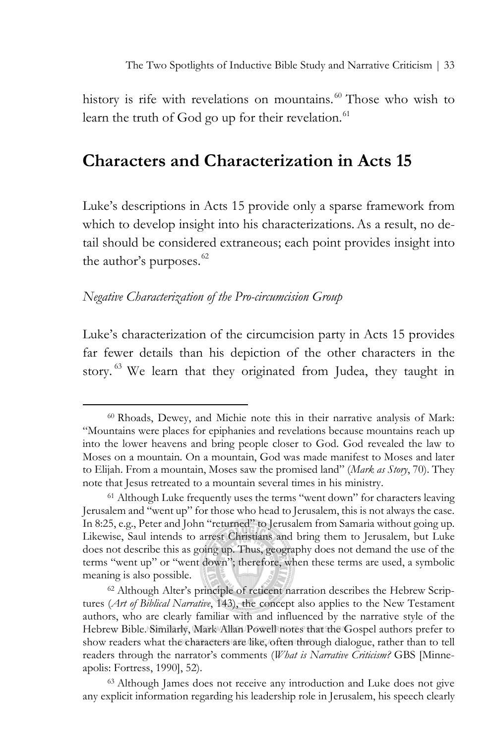history is rife with revelations on mountains.<sup>[60](#page-26-0)</sup> Those who wish to learn the truth of God go up for their revelation.<sup>61</sup>

# **Characters and Characterization in Acts 15**

Luke's descriptions in Acts 15 provide only a sparse framework from which to develop insight into his characterizations. As a result, no detail should be considered extraneous; each point provides insight into the author's purposes.<sup>[62](#page-26-2)</sup>

### *Negative Characterization of the Pro-circumcision Group*

Luke's characterization of the circumcision party in Acts 15 provides far fewer details than his depiction of the other characters in the story.<sup>[63](#page-26-3)</sup> We learn that they originated from Judea, they taught in

<span id="page-26-0"></span><sup>60</sup> Rhoads, Dewey, and Michie note this in their narrative analysis of Mark: "Mountains were places for epiphanies and revelations because mountains reach up into the lower heavens and bring people closer to God. God revealed the law to Moses on a mountain. On a mountain, God was made manifest to Moses and later to Elijah. From a mountain, Moses saw the promised land" (*Mark as Story*, 70). They note that Jesus retreated to a mountain several times in his ministry.

<span id="page-26-1"></span><sup>61</sup> Although Luke frequently uses the terms "went down" for characters leaving Jerusalem and "went up" for those who head to Jerusalem, this is not always the case. In 8:25, e.g., Peter and John "returned" to Jerusalem from Samaria without going up. Likewise, Saul intends to arrest Christians and bring them to Jerusalem, but Luke does not describe this as going up. Thus, geography does not demand the use of the terms "went up" or "went down"; therefore, when these terms are used, a symbolic meaning is also possible.

<span id="page-26-2"></span><sup>62</sup> Although Alter's principle of reticent narration describes the Hebrew Scriptures (*Art of Biblical Narrative*, 143), the concept also applies to the New Testament authors, who are clearly familiar with and influenced by the narrative style of the Hebrew Bible. Similarly, Mark Allan Powell notes that the Gospel authors prefer to show readers what the characters are like, often through dialogue, rather than to tell readers through the narrator's comments (*What is Narrative Criticism?* GBS [Minneapolis: Fortress, 1990], 52).

<span id="page-26-3"></span><sup>63</sup> Although James does not receive any introduction and Luke does not give any explicit information regarding his leadership role in Jerusalem, his speech clearly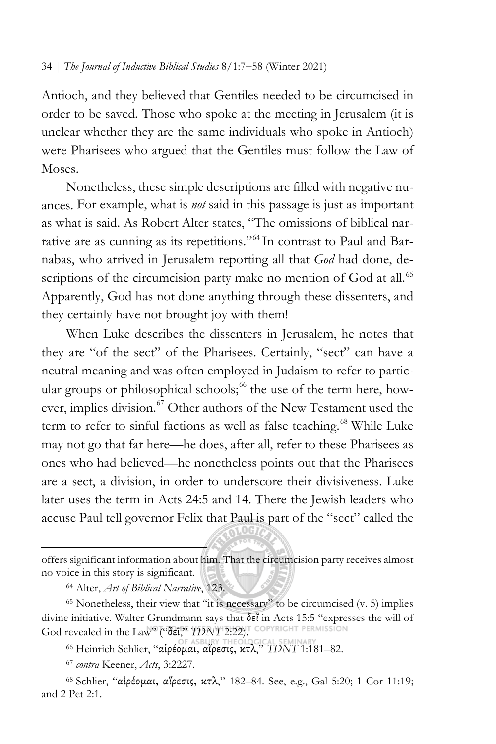Antioch, and they believed that Gentiles needed to be circumcised in order to be saved. Those who spoke at the meeting in Jerusalem (it is unclear whether they are the same individuals who spoke in Antioch) were Pharisees who argued that the Gentiles must follow the Law of Moses.

Nonetheless, these simple descriptions are filled with negative nuances. For example, what is *not* said in this passage is just as important as what is said. As Robert Alter states, "The omissions of biblical narrative are as cunning as its repetitions."[64](#page-27-0) In contrast to Paul and Barnabas, who arrived in Jerusalem reporting all that *God* had done, de-scriptions of the circumcision party make no mention of God at all.<sup>[65](#page-27-1)</sup> Apparently, God has not done anything through these dissenters, and they certainly have not brought joy with them!

When Luke describes the dissenters in Jerusalem, he notes that they are "of the sect" of the Pharisees. Certainly, "sect" can have a neutral meaning and was often employed in Judaism to refer to partic-ular groups or philosophical schools;<sup>[66](#page-27-2)</sup> the use of the term here, how-ever, implies division.<sup>[67](#page-27-3)</sup> Other authors of the New Testament used the term to refer to sinful factions as well as false teaching.<sup>[68](#page-27-4)</sup> While Luke may not go that far here—he does, after all, refer to these Pharisees as ones who had believed—he nonetheless points out that the Pharisees are a sect, a division, in order to underscore their divisiveness. Luke later uses the term in Acts 24:5 and 14. There the Jewish leaders who accuse Paul tell governor Felix that Paul is part of the "sect" called the

offers significant information about him. That the circumcision party receives almost no voice in this story is significant.

<sup>64</sup> Alter, *Art of Biblical Narrative*, 123.

<span id="page-27-1"></span><span id="page-27-0"></span> $65$  Nonetheless, their view that "it is necessary" to be circumcised (v. 5) implies divine initiative. Walter Grundmann says that  $\delta \tilde{\epsilon}$  in Acts 15:5 "expresses the will of God revealed in the Law<sup>90</sup> ("δεϊ," *TDNT* 2:22). COPYRIGHT PERMISSION

<sup>66</sup> Heinrich Schlier, "αἱρέομαι, αἵρεσις, κτλ," *TDNT* 1:181–82.

<sup>67</sup> *contra* Keener, *Acts*, 3:2227.

<span id="page-27-4"></span><span id="page-27-3"></span><span id="page-27-2"></span><sup>68</sup> Schlier, "αἱρέομαι, αἵρεσις, κτλ," 182–84. See, e.g., Gal 5:20; 1 Cor 11:19; and 2 Pet 2:1.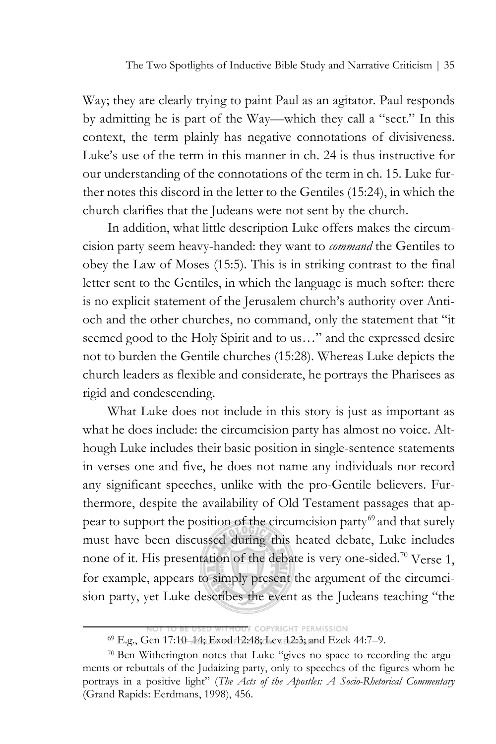Way; they are clearly trying to paint Paul as an agitator. Paul responds by admitting he is part of the Way—which they call a "sect." In this context, the term plainly has negative connotations of divisiveness. Luke's use of the term in this manner in ch. 24 is thus instructive for our understanding of the connotations of the term in ch. 15. Luke further notes this discord in the letter to the Gentiles (15:24), in which the church clarifies that the Judeans were not sent by the church.

In addition, what little description Luke offers makes the circumcision party seem heavy-handed: they want to *command* the Gentiles to obey the Law of Moses (15:5). This is in striking contrast to the final letter sent to the Gentiles, in which the language is much softer: there is no explicit statement of the Jerusalem church's authority over Antioch and the other churches, no command, only the statement that "it seemed good to the Holy Spirit and to us…" and the expressed desire not to burden the Gentile churches (15:28). Whereas Luke depicts the church leaders as flexible and considerate, he portrays the Pharisees as rigid and condescending.

What Luke does not include in this story is just as important as what he does include: the circumcision party has almost no voice. Although Luke includes their basic position in single-sentence statements in verses one and five, he does not name any individuals nor record any significant speeches, unlike with the pro-Gentile believers. Furthermore, despite the availability of Old Testament passages that ap-pear to support the position of the circumcision party<sup>[69](#page-28-0)</sup> and that surely must have been discussed during this heated debate, Luke includes none of it. His presentation of the debate is very one-sided.<sup>[70](#page-28-1)</sup> Verse 1, for example, appears to simply present the argument of the circumcision party, yet Luke describes the event as the Judeans teaching "the

**THE COPYRIGHT PERMISSION** 

<sup>69</sup> E.g., Gen 17:10–14; Exod 12:48; Lev 12:3; and Ezek 44:7–9.

<span id="page-28-1"></span><span id="page-28-0"></span><sup>70</sup> Ben Witherington notes that Luke "gives no space to recording the arguments or rebuttals of the Judaizing party, only to speeches of the figures whom he portrays in a positive light" (*The Acts of the Apostles: A Socio-Rhetorical Commentary*  (Grand Rapids: Eerdmans, 1998), 456.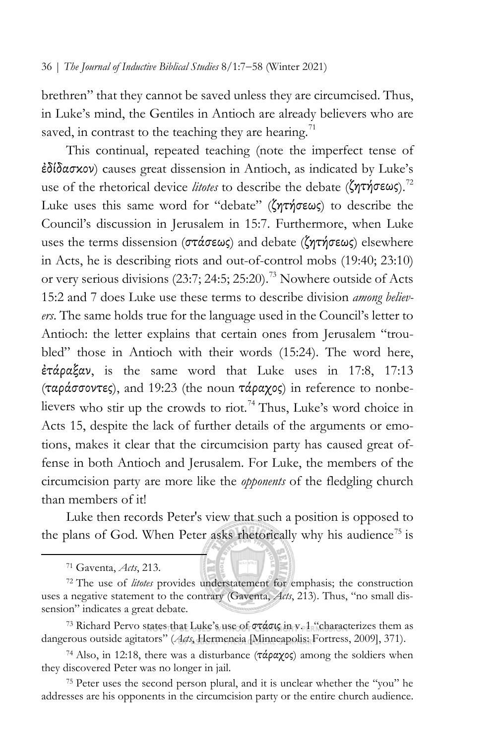brethren" that they cannot be saved unless they are circumcised. Thus, in Luke's mind, the Gentiles in Antioch are already believers who are saved, in contrast to the teaching they are hearing.<sup>[71](#page-29-0)</sup>

This continual, repeated teaching (note the imperfect tense of ἐδίδασκον) causes great dissension in Antioch, as indicated by Luke's use of the rhetorical device *litotes* to describe the debate (ζητήσεως).<sup>[72](#page-29-1)</sup> Luke uses this same word for "debate" (ζητήσεως) to describe the Council's discussion in Jerusalem in 15:7. Furthermore, when Luke uses the terms dissension (στάσεως) and debate (ζητήσεως) elsewhere in Acts, he is describing riots and out-of-control mobs (19:40; 23:10) or very serious divisions  $(23:7; 24:5; 25:20).$ <sup>[73](#page-29-2)</sup> Nowhere outside of Acts 15:2 and 7 does Luke use these terms to describe division *among believers*. The same holds true for the language used in the Council's letter to Antioch: the letter explains that certain ones from Jerusalem "troubled" those in Antioch with their words (15:24). The word here, ἐτάραξαν, is the same word that Luke uses in 17:8, 17:13 (ταράσσοντες), and 19:23 (the noun τάραχος) in reference to nonbe-lievers who stir up the crowds to riot.<sup>[74](#page-29-3)</sup> Thus, Luke's word choice in Acts 15, despite the lack of further details of the arguments or emotions, makes it clear that the circumcision party has caused great offense in both Antioch and Jerusalem. For Luke, the members of the circumcision party are more like the *opponents* of the fledgling church than members of it!

Luke then records Peter's view that such a position is opposed to the plans of God. When Peter asks rhetorically why his audience<sup>[75](#page-30-0)</sup> is

<sup>71</sup> Gaventa, *Acts*, 213.

<span id="page-29-0"></span><sup>72</sup> The use of *litotes* provides understatement for emphasis; the construction uses a negative statement to the contrary (Gaventa, *Acts*, 213). Thus, "no small dissension" indicates a great debate.

<span id="page-29-1"></span><sup>&</sup>lt;sup>73</sup> Richard Pervo states that Luke's use of  $\sigma\tau\acute{\alpha}\sigma\mathfrak{lg}$  in  $v_{\rm e}1$  "characterizes them as dangerous outside agitators" (*Acts*, Hermeneia [Minneapolis: Fortress, 2009], 371).

<span id="page-29-2"></span><sup>&</sup>lt;sup>74</sup> Also, in 12:18, there was a disturbance ( $\tau \dot{\alpha} \rho \alpha \chi$ ος) among the soldiers when they discovered Peter was no longer in jail.

<span id="page-29-3"></span><sup>75</sup> Peter uses the second person plural, and it is unclear whether the "you" he addresses are his opponents in the circumcision party or the entire church audience.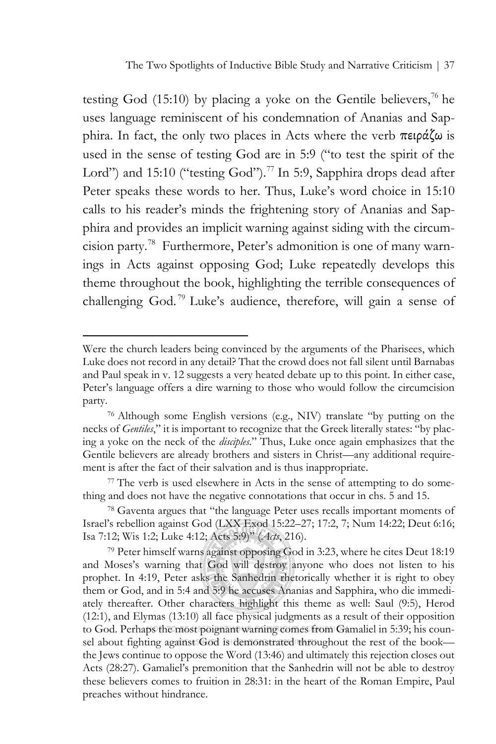The Two Spotlights of Inductive Bible Study and Narrative Criticism | 37

testing God (15:10) by placing a yoke on the Gentile believers,<sup>76</sup> he uses language reminiscent of his condemnation of Ananias and Sapphira. In fact, the only two places in Acts where the verb πειράζω is used in the sense of testing God are in 5:9 ("to test the spirit of the Lord") and 15:10 ("testing God").<sup>[77](#page-30-2)</sup> In 5:9, Sapphira drops dead after Peter speaks these words to her. Thus, Luke's word choice in 15:10 calls to his reader's minds the frightening story of Ananias and Sapphira and provides an implicit warning against siding with the circumcision party. [78](#page-30-3) Furthermore, Peter's admonition is one of many warnings in Acts against opposing God; Luke repeatedly develops this theme throughout the book, highlighting the terrible consequences of challenging God. [79](#page-30-4) Luke's audience, therefore, will gain a sense of

<span id="page-30-0"></span>Were the church leaders being convinced by the arguments of the Pharisees, which Luke does not record in any detail? That the crowd does not fall silent until Barnabas and Paul speak in v. 12 suggests a very heated debate up to this point. In either case, Peter's language offers a dire warning to those who would follow the circumcision party.

<sup>76</sup> Although some English versions (e.g., NIV) translate "by putting on the necks of *Gentiles*," it is important to recognize that the Greek literally states: "by placing a yoke on the neck of the *disciples*." Thus, Luke once again emphasizes that the Gentile believers are already brothers and sisters in Christ—any additional requirement is after the fact of their salvation and is thus inappropriate.

<span id="page-30-1"></span><sup>77</sup> The verb is used elsewhere in Acts in the sense of attempting to do something and does not have the negative connotations that occur in chs. 5 and 15.

<sup>78</sup> Gaventa argues that "the language Peter uses recalls important moments of Israel's rebellion against God (LXX Exod 15:22–27; 17:2, 7; Num 14:22; Deut 6:16; Isa 7:12; Wis 1:2; Luke 4:12; Acts 5:9)" (*Acts*, 216).

<span id="page-30-4"></span><span id="page-30-3"></span><span id="page-30-2"></span><sup>79</sup> Peter himself warns against opposing God in 3:23, where he cites Deut 18:19 and Moses's warning that God will destroy anyone who does not listen to his prophet. In 4:19, Peter asks the Sanhedrin rhetorically whether it is right to obey them or God, and in 5:4 and 5:9 he accuses Ananias and Sapphira, who die immediately thereafter. Other characters highlight this theme as well: Saul (9:5), Herod (12:1), and Elymas (13:10) all face physical judgments as a result of their opposition to God. Perhaps the most poignant warning comes from Gamaliel in 5:39; his counsel about fighting against God is demonstrated throughout the rest of the book the Jews continue to oppose the Word (13:46) and ultimately this rejection closes out Acts (28:27). Gamaliel's premonition that the Sanhedrin will not be able to destroy these believers comes to fruition in 28:31: in the heart of the Roman Empire, Paul preaches without hindrance.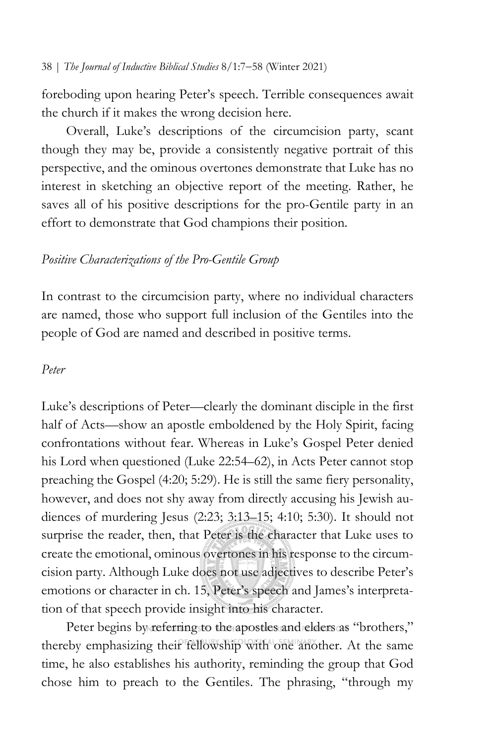foreboding upon hearing Peter's speech. Terrible consequences await the church if it makes the wrong decision here.

Overall, Luke's descriptions of the circumcision party, scant though they may be, provide a consistently negative portrait of this perspective, and the ominous overtones demonstrate that Luke has no interest in sketching an objective report of the meeting. Rather, he saves all of his positive descriptions for the pro-Gentile party in an effort to demonstrate that God champions their position.

## *Positive Characterizations of the Pro-Gentile Group*

In contrast to the circumcision party, where no individual characters are named, those who support full inclusion of the Gentiles into the people of God are named and described in positive terms.

### *Peter*

Luke's descriptions of Peter—clearly the dominant disciple in the first half of Acts—show an apostle emboldened by the Holy Spirit, facing confrontations without fear. Whereas in Luke's Gospel Peter denied his Lord when questioned (Luke 22:54–62), in Acts Peter cannot stop preaching the Gospel (4:20; 5:29). He is still the same fiery personality, however, and does not shy away from directly accusing his Jewish audiences of murdering Jesus (2:23; 3:13–15; 4:10; 5:30). It should not surprise the reader, then, that Peter is the character that Luke uses to create the emotional, ominous overtones in his response to the circumcision party. Although Luke does not use adjectives to describe Peter's emotions or character in ch. 15, Peter's speech and James's interpretation of that speech provide insight into his character.

Peter begins by referring to the apostles and elders as "brothers," thereby emphasizing their fellowship with one another. At the same time, he also establishes his authority, reminding the group that God chose him to preach to the Gentiles. The phrasing, "through my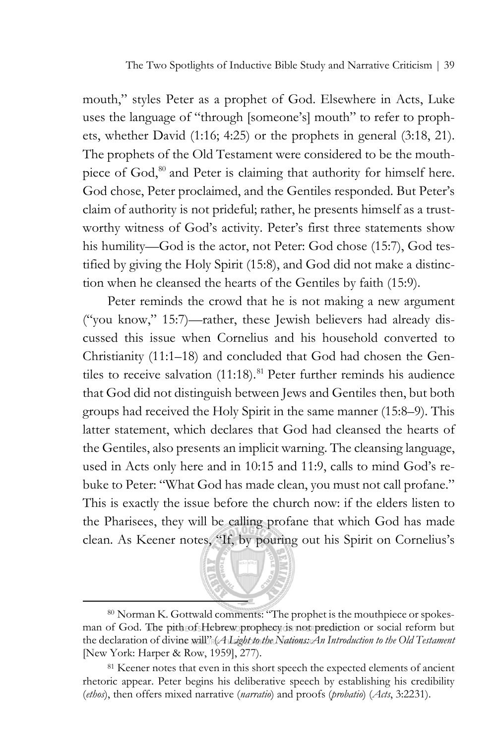The Two Spotlights of Inductive Bible Study and Narrative Criticism | 39

mouth," styles Peter as a prophet of God. Elsewhere in Acts, Luke uses the language of "through [someone's] mouth" to refer to prophets, whether David (1:16; 4:25) or the prophets in general (3:18, 21). The prophets of the Old Testament were considered to be the mouth-piece of God,<sup>[80](#page-32-0)</sup> and Peter is claiming that authority for himself here. God chose, Peter proclaimed, and the Gentiles responded. But Peter's claim of authority is not prideful; rather, he presents himself as a trustworthy witness of God's activity. Peter's first three statements show his humility—God is the actor, not Peter: God chose (15:7), God testified by giving the Holy Spirit (15:8), and God did not make a distinction when he cleansed the hearts of the Gentiles by faith (15:9).

Peter reminds the crowd that he is not making a new argument ("you know," 15:7)—rather, these Jewish believers had already discussed this issue when Cornelius and his household converted to Christianity (11:1–18) and concluded that God had chosen the Gentiles to receive salvation  $(11:18)$ .<sup>[81](#page-32-1)</sup> Peter further reminds his audience that God did not distinguish between Jews and Gentiles then, but both groups had received the Holy Spirit in the same manner (15:8–9). This latter statement, which declares that God had cleansed the hearts of the Gentiles, also presents an implicit warning. The cleansing language, used in Acts only here and in 10:15 and 11:9, calls to mind God's rebuke to Peter: "What God has made clean, you must not call profane." This is exactly the issue before the church now: if the elders listen to the Pharisees, they will be calling profane that which God has made clean. As Keener notes, "If, by pouring out his Spirit on Cornelius's



<sup>80</sup> Norman K. Gottwald comments: "The prophet is the mouthpiece or spokesman of God. The pith of Hebrew prophecy is not prediction or social reform but the declaration of divine will" (*A Light to the Nations: An Introduction to the Old Testament* [New York: Harper & Row, 1959], 277).

<span id="page-32-1"></span><span id="page-32-0"></span><sup>&</sup>lt;sup>81</sup> Keener notes that even in this short speech the expected elements of ancient rhetoric appear. Peter begins his deliberative speech by establishing his credibility (*ethos*), then offers mixed narrative (*narratio*) and proofs (*probatio*) (*Acts*, 3:2231).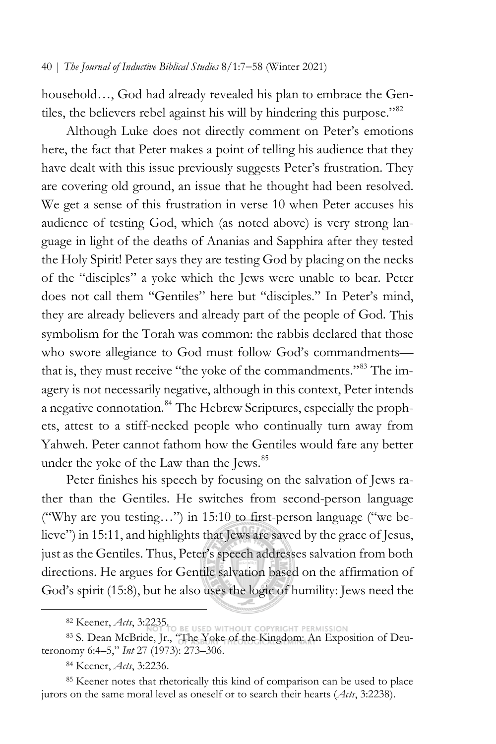household…, God had already revealed his plan to embrace the Gentiles, the believers rebel against his will by hindering this purpose."[82](#page-33-0)

Although Luke does not directly comment on Peter's emotions here, the fact that Peter makes a point of telling his audience that they have dealt with this issue previously suggests Peter's frustration. They are covering old ground, an issue that he thought had been resolved. We get a sense of this frustration in verse 10 when Peter accuses his audience of testing God, which (as noted above) is very strong language in light of the deaths of Ananias and Sapphira after they tested the Holy Spirit! Peter says they are testing God by placing on the necks of the "disciples" a yoke which the Jews were unable to bear. Peter does not call them "Gentiles" here but "disciples." In Peter's mind, they are already believers and already part of the people of God. This symbolism for the Torah was common: the rabbis declared that those who swore allegiance to God must follow God's commandments-that is, they must receive "the yoke of the commandments."<sup>[83](#page-33-1)</sup> The imagery is not necessarily negative, although in this context, Peter intends a negative connotation.<sup>[84](#page-33-2)</sup> The Hebrew Scriptures, especially the prophets, attest to a stiff-necked people who continually turn away from Yahweh. Peter cannot fathom how the Gentiles would fare any better under the yoke of the Law than the Jews.<sup>[85](#page-33-3)</sup>

Peter finishes his speech by focusing on the salvation of Jews rather than the Gentiles. He switches from second-person language ("Why are you testing…") in 15:10 to first-person language ("we believe") in 15:11, and highlights that Jews are saved by the grace of Jesus, just as the Gentiles. Thus, Peter's speech addresses salvation from both directions. He argues for Gentile salvation based on the affirmation of God's spirit (15:8), but he also uses the logic of humility: Jews need the

<sup>82</sup> Keener, *Acts*, 3:2235.

<span id="page-33-1"></span><span id="page-33-0"></span><sup>83</sup> S. Dean McBride, Jr., "The Yoke of the Kingdom: An Exposition of Deuteronomy 6:4–5," *Int* 27 (1973): 273–306.

<sup>84</sup> Keener, *Acts*, 3:2236.

<span id="page-33-3"></span><span id="page-33-2"></span><sup>&</sup>lt;sup>85</sup> Keener notes that rhetorically this kind of comparison can be used to place jurors on the same moral level as oneself or to search their hearts (*Acts*, 3:2238).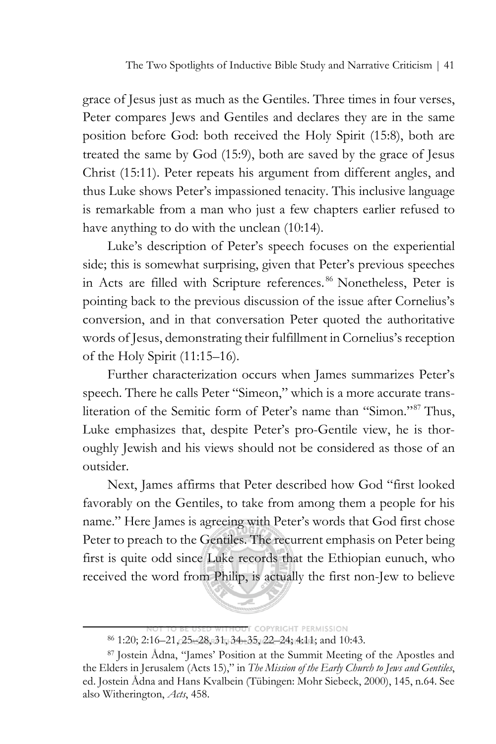The Two Spotlights of Inductive Bible Study and Narrative Criticism | 41

grace of Jesus just as much as the Gentiles. Three times in four verses, Peter compares Jews and Gentiles and declares they are in the same position before God: both received the Holy Spirit (15:8), both are treated the same by God (15:9), both are saved by the grace of Jesus Christ (15:11). Peter repeats his argument from different angles, and thus Luke shows Peter's impassioned tenacity. This inclusive language is remarkable from a man who just a few chapters earlier refused to have anything to do with the unclean (10:14).

Luke's description of Peter's speech focuses on the experiential side; this is somewhat surprising, given that Peter's previous speeches in Acts are filled with Scripture references. [86](#page-34-0) Nonetheless, Peter is pointing back to the previous discussion of the issue after Cornelius's conversion, and in that conversation Peter quoted the authoritative words of Jesus, demonstrating their fulfillment in Cornelius's reception of the Holy Spirit (11:15–16).

Further characterization occurs when James summarizes Peter's speech. There he calls Peter "Simeon," which is a more accurate transliteration of the Semitic form of Peter's name than "Simon."[87](#page-34-1) Thus, Luke emphasizes that, despite Peter's pro-Gentile view, he is thoroughly Jewish and his views should not be considered as those of an outsider.

Next, James affirms that Peter described how God "first looked favorably on the Gentiles, to take from among them a people for his name." Here James is agreeing with Peter's words that God first chose Peter to preach to the Gentiles. The recurrent emphasis on Peter being first is quite odd since Luke records that the Ethiopian eunuch, who received the word from Philip, is actually the first non-Jew to believe

**T COPYRIGHT PERMISSION** <sup>86</sup> 1:20; 2:16–21, 25–28, 31, 34–35, 22–24; 4:11; and 10:43.

<span id="page-34-1"></span><span id="page-34-0"></span><sup>87</sup> Jostein Ådna, "James' Position at the Summit Meeting of the Apostles and the Elders in Jerusalem (Acts 15)," in *The Mission of the Early Church to Jews and Gentiles*, ed. Jostein Ådna and Hans Kvalbein (Tübingen: Mohr Siebeck, 2000), 145, n.64. See also Witherington, *Acts*, 458.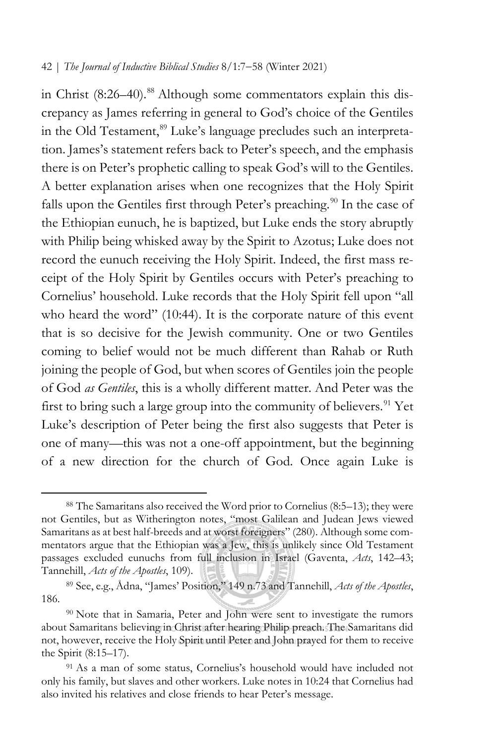in Christ (8:26–40).<sup>[88](#page-35-0)</sup> Although some commentators explain this discrepancy as James referring in general to God's choice of the Gentiles in the Old Testament,<sup>[89](#page-35-1)</sup> Luke's language precludes such an interpretation. James's statement refers back to Peter's speech, and the emphasis there is on Peter's prophetic calling to speak God's will to the Gentiles. A better explanation arises when one recognizes that the Holy Spirit falls upon the Gentiles first through Peter's preaching.<sup>[90](#page-35-2)</sup> In the case of the Ethiopian eunuch, he is baptized, but Luke ends the story abruptly with Philip being whisked away by the Spirit to Azotus; Luke does not record the eunuch receiving the Holy Spirit. Indeed, the first mass receipt of the Holy Spirit by Gentiles occurs with Peter's preaching to Cornelius' household. Luke records that the Holy Spirit fell upon "all who heard the word" (10:44). It is the corporate nature of this event that is so decisive for the Jewish community. One or two Gentiles coming to belief would not be much different than Rahab or Ruth joining the people of God, but when scores of Gentiles join the people of God *as Gentiles*, this is a wholly different matter. And Peter was the first to bring such a large group into the community of believers.<sup>[91](#page-35-3)</sup> Yet Luke's description of Peter being the first also suggests that Peter is one of many—this was not a one-off appointment, but the beginning of a new direction for the church of God. Once again Luke is

<span id="page-35-0"></span><sup>88</sup> The Samaritans also received the Word prior to Cornelius (8:5–13); they were not Gentiles, but as Witherington notes, "most Galilean and Judean Jews viewed Samaritans as at best half-breeds and at worst foreigners" (280). Although some commentators argue that the Ethiopian was a Jew, this is unlikely since Old Testament passages excluded eunuchs from full inclusion in Israel (Gaventa, *Acts*, 142–43; Tannehill, *Acts of the Apostles*, 109).

<span id="page-35-1"></span><sup>89</sup> See, e.g., Ådna, "James' Position," 149 n.73 and Tannehill, *Acts of the Apostles*, 186.

<span id="page-35-2"></span><sup>90</sup> Note that in Samaria, Peter and John were sent to investigate the rumors about Samaritans believing in Christ after hearing Philip preach. The Samaritans did not, however, receive the Holy Spirit until Peter and John prayed for them to receive the Spirit (8:15–17).

<span id="page-35-3"></span><sup>&</sup>lt;sup>91</sup> As a man of some status, Cornelius's household would have included not only his family, but slaves and other workers. Luke notes in 10:24 that Cornelius had also invited his relatives and close friends to hear Peter's message.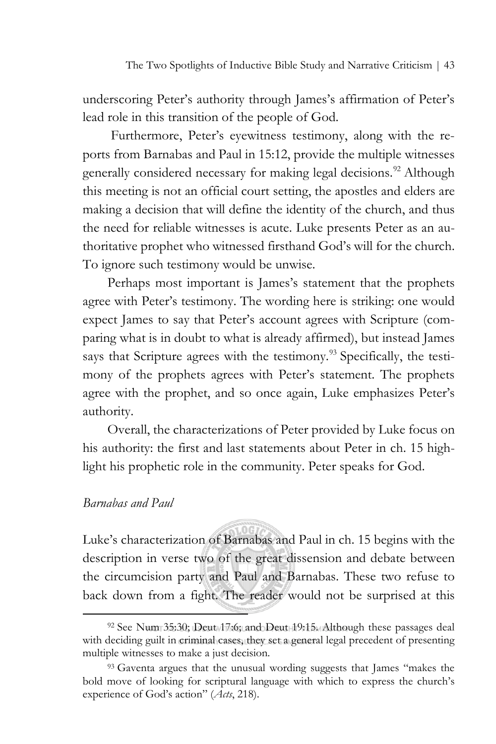underscoring Peter's authority through James's affirmation of Peter's lead role in this transition of the people of God.

Furthermore, Peter's eyewitness testimony, along with the reports from Barnabas and Paul in 15:12, provide the multiple witnesses generally considered necessary for making legal decisions.<sup>92</sup> Although this meeting is not an official court setting, the apostles and elders are making a decision that will define the identity of the church, and thus the need for reliable witnesses is acute. Luke presents Peter as an authoritative prophet who witnessed firsthand God's will for the church. To ignore such testimony would be unwise.

Perhaps most important is James's statement that the prophets agree with Peter's testimony. The wording here is striking: one would expect James to say that Peter's account agrees with Scripture (comparing what is in doubt to what is already affirmed), but instead James says that Scripture agrees with the testimony.<sup>[93](#page-36-1)</sup> Specifically, the testimony of the prophets agrees with Peter's statement. The prophets agree with the prophet, and so once again, Luke emphasizes Peter's authority.

Overall, the characterizations of Peter provided by Luke focus on his authority: the first and last statements about Peter in ch. 15 highlight his prophetic role in the community. Peter speaks for God.

### *Barnabas and Paul*

Luke's characterization of Barnabas and Paul in ch. 15 begins with the description in verse two of the great dissension and debate between the circumcision party and Paul and Barnabas. These two refuse to back down from a fight. The reader would not be surprised at this

<span id="page-36-0"></span><sup>92</sup> See Num 35:30; Deut 17:6; and Deut 19:15. Although these passages deal with deciding guilt in criminal cases, they set a general legal precedent of presenting multiple witnesses to make a just decision.

<span id="page-36-1"></span><sup>&</sup>lt;sup>93</sup> Gaventa argues that the unusual wording suggests that James "makes the bold move of looking for scriptural language with which to express the church's experience of God's action" (*Acts*, 218).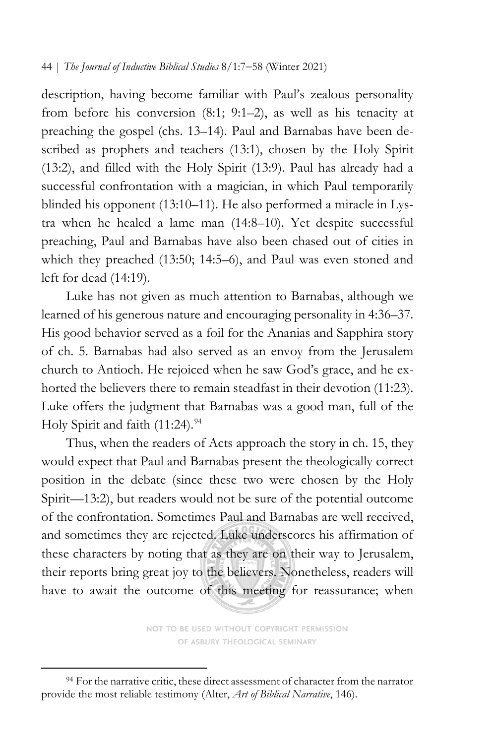description, having become familiar with Paul's zealous personality from before his conversion (8:1; 9:1–2), as well as his tenacity at preaching the gospel (chs. 13–14). Paul and Barnabas have been described as prophets and teachers (13:1), chosen by the Holy Spirit (13:2), and filled with the Holy Spirit (13:9). Paul has already had a successful confrontation with a magician, in which Paul temporarily blinded his opponent (13:10–11). He also performed a miracle in Lystra when he healed a lame man (14:8–10). Yet despite successful preaching, Paul and Barnabas have also been chased out of cities in which they preached (13:50; 14:5–6), and Paul was even stoned and left for dead (14:19).

Luke has not given as much attention to Barnabas, although we learned of his generous nature and encouraging personality in 4:36–37. His good behavior served as a foil for the Ananias and Sapphira story of ch. 5. Barnabas had also served as an envoy from the Jerusalem church to Antioch. He rejoiced when he saw God's grace, and he exhorted the believers there to remain steadfast in their devotion (11:23). Luke offers the judgment that Barnabas was a good man, full of the Holy Spirit and faith  $(11:24).<sup>94</sup>$  $(11:24).<sup>94</sup>$  $(11:24).<sup>94</sup>$ 

Thus, when the readers of Acts approach the story in ch. 15, they would expect that Paul and Barnabas present the theologically correct position in the debate (since these two were chosen by the Holy Spirit—13:2), but readers would not be sure of the potential outcome of the confrontation. Sometimes Paul and Barnabas are well received, and sometimes they are rejected. Luke underscores his affirmation of these characters by noting that as they are on their way to Jerusalem, their reports bring great joy to the believers. Nonetheless, readers will have to await the outcome of this meeting for reassurance; when

> NOT TO BE USED WITHOUT COPYRIGHT PERMISSION OF ASBURY THEOLOGICAL SEMINARY

<span id="page-37-0"></span><sup>&</sup>lt;sup>94</sup> For the narrative critic, these direct assessment of character from the narrator provide the most reliable testimony (Alter, *Art of Biblical Narrative*, 146).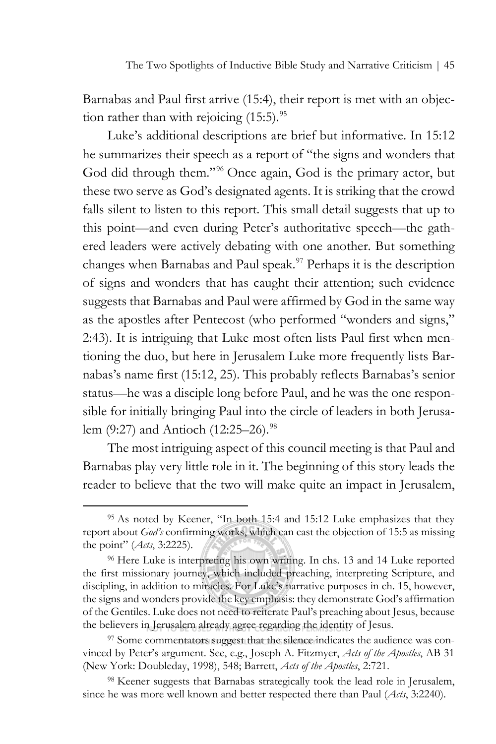Barnabas and Paul first arrive (15:4), their report is met with an objection rather than with rejoicing  $(15:5)$ .<sup>95</sup>

Luke's additional descriptions are brief but informative. In 15:12 he summarizes their speech as a report of "the signs and wonders that God did through them."<sup>[96](#page-38-1)</sup> Once again, God is the primary actor, but these two serve as God's designated agents. It is striking that the crowd falls silent to listen to this report. This small detail suggests that up to this point—and even during Peter's authoritative speech—the gathered leaders were actively debating with one another. But something changes when Barnabas and Paul speak.<sup>[97](#page-38-2)</sup> Perhaps it is the description of signs and wonders that has caught their attention; such evidence suggests that Barnabas and Paul were affirmed by God in the same way as the apostles after Pentecost (who performed "wonders and signs," 2:43). It is intriguing that Luke most often lists Paul first when mentioning the duo, but here in Jerusalem Luke more frequently lists Barnabas's name first (15:12, 25). This probably reflects Barnabas's senior status—he was a disciple long before Paul, and he was the one responsible for initially bringing Paul into the circle of leaders in both Jerusa-lem (9:27) and Antioch (12:25–26).<sup>[98](#page-38-3)</sup>

The most intriguing aspect of this council meeting is that Paul and Barnabas play very little role in it. The beginning of this story leads the reader to believe that the two will make quite an impact in Jerusalem,

<span id="page-38-0"></span><sup>95</sup> As noted by Keener, "In both 15:4 and 15:12 Luke emphasizes that they report about *God's* confirming works, which can cast the objection of 15:5 as missing the point" (*Acts*, 3:2225).

<span id="page-38-1"></span><sup>96</sup> Here Luke is interpreting his own writing. In chs. 13 and 14 Luke reported the first missionary journey, which included preaching, interpreting Scripture, and discipling, in addition to miracles. For Luke's narrative purposes in ch. 15, however, the signs and wonders provide the key emphasis: they demonstrate God's affirmation of the Gentiles. Luke does not need to reiterate Paul's preaching about Jesus, because the believers in Jerusalem already agree regarding the identity of Jesus.

<span id="page-38-2"></span><sup>97</sup> Some commentators suggest that the silence indicates the audience was convinced by Peter's argument. See, e.g., Joseph A. Fitzmyer, *Acts of the Apostles*, AB 31 (New York: Doubleday, 1998), 548; Barrett, *Acts of the Apostles*, 2:721.

<span id="page-38-3"></span><sup>98</sup> Keener suggests that Barnabas strategically took the lead role in Jerusalem, since he was more well known and better respected there than Paul (*Acts*, 3:2240).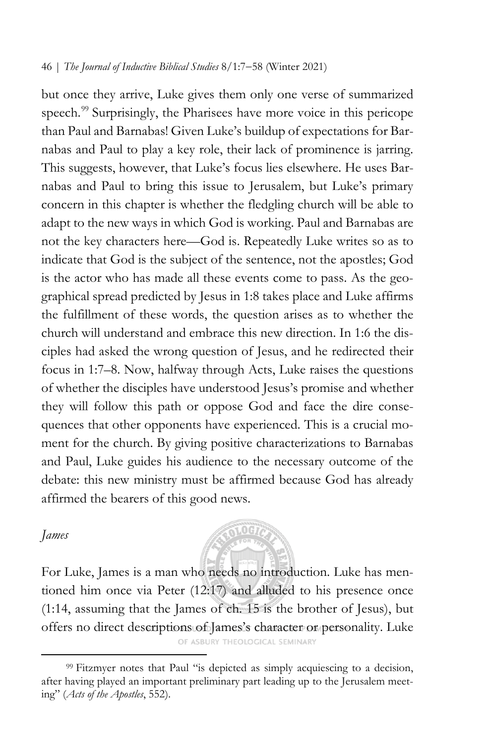but once they arrive, Luke gives them only one verse of summarized speech.<sup>[99](#page-39-0)</sup> Surprisingly, the Pharisees have more voice in this pericope than Paul and Barnabas! Given Luke's buildup of expectations for Barnabas and Paul to play a key role, their lack of prominence is jarring. This suggests, however, that Luke's focus lies elsewhere. He uses Barnabas and Paul to bring this issue to Jerusalem, but Luke's primary concern in this chapter is whether the fledgling church will be able to adapt to the new ways in which God is working. Paul and Barnabas are not the key characters here—God is. Repeatedly Luke writes so as to indicate that God is the subject of the sentence, not the apostles; God is the actor who has made all these events come to pass. As the geographical spread predicted by Jesus in 1:8 takes place and Luke affirms the fulfillment of these words, the question arises as to whether the church will understand and embrace this new direction. In 1:6 the disciples had asked the wrong question of Jesus, and he redirected their focus in 1:7–8. Now, halfway through Acts, Luke raises the questions of whether the disciples have understood Jesus's promise and whether they will follow this path or oppose God and face the dire consequences that other opponents have experienced. This is a crucial moment for the church. By giving positive characterizations to Barnabas and Paul, Luke guides his audience to the necessary outcome of the debate: this new ministry must be affirmed because God has already affirmed the bearers of this good news.

### *James*

For Luke, James is a man who needs no introduction. Luke has mentioned him once via Peter (12:17) and alluded to his presence once (1:14, assuming that the James of ch. 15 is the brother of Jesus), but offers no direct descriptions of James's character or personality. Luke

OF ASBURY THEOLOGICAL SEMINARY

**RIOGTA** 

<span id="page-39-0"></span><sup>&</sup>lt;sup>99</sup> Fitzmyer notes that Paul "is depicted as simply acquiescing to a decision, after having played an important preliminary part leading up to the Jerusalem meeting" (*Acts of the Apostles*, 552).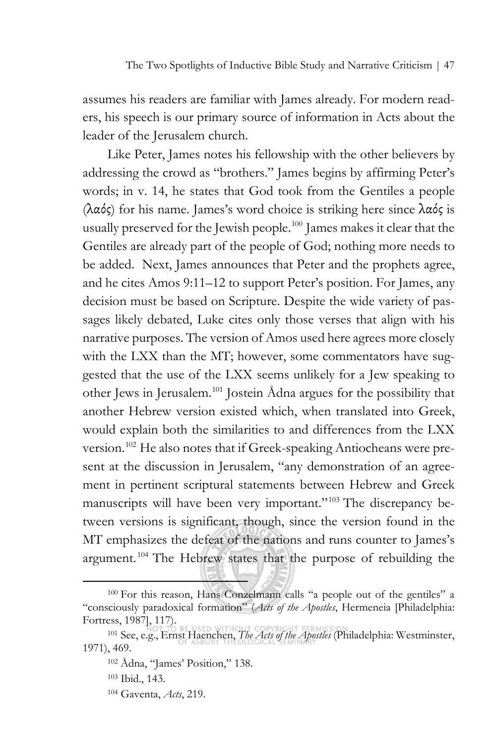assumes his readers are familiar with James already. For modern readers, his speech is our primary source of information in Acts about the leader of the Jerusalem church.

Like Peter, James notes his fellowship with the other believers by addressing the crowd as "brothers." James begins by affirming Peter's words; in v. 14, he states that God took from the Gentiles a people (λαός) for his name. James's word choice is striking here since λαός is usually preserved for the Jewish people.<sup>[100](#page-40-0)</sup> James makes it clear that the Gentiles are already part of the people of God; nothing more needs to be added. Next, James announces that Peter and the prophets agree, and he cites Amos 9:11–12 to support Peter's position. For James, any decision must be based on Scripture. Despite the wide variety of passages likely debated, Luke cites only those verses that align with his narrative purposes. The version of Amos used here agrees more closely with the LXX than the MT; however, some commentators have suggested that the use of the LXX seems unlikely for a Jew speaking to other Jews in Jerusalem.[101](#page-40-1) Jostein Ådna argues for the possibility that another Hebrew version existed which, when translated into Greek, would explain both the similarities to and differences from the LXX version.<sup>[102](#page-40-2)</sup> He also notes that if Greek-speaking Antiocheans were present at the discussion in Jerusalem, "any demonstration of an agreement in pertinent scriptural statements between Hebrew and Greek manuscripts will have been very important."<sup>[103](#page-40-3)</sup> The discrepancy between versions is significant, though, since the version found in the MT emphasizes the defeat of the nations and runs counter to James's argument. [104](#page-40-4) The Hebrew states that the purpose of rebuilding the

<span id="page-40-0"></span><sup>100</sup> For this reason, Hans Conzelmann calls "a people out of the gentiles" a "consciously paradoxical formation" (*Acts of the Apostles*, Hermeneia [Philadelphia: Fortress, 1987], 117).

<span id="page-40-4"></span><span id="page-40-3"></span><span id="page-40-2"></span><span id="page-40-1"></span><sup>101</sup> See, e.g., Ernst Haenchen, *The Acts of the Apostles* (Philadelphia: Westminster, 1971), 469.

<sup>102</sup> Ådna, "James' Position," 138.

<sup>103</sup> Ibid., 143.

<sup>104</sup> Gaventa, *Acts*, 219.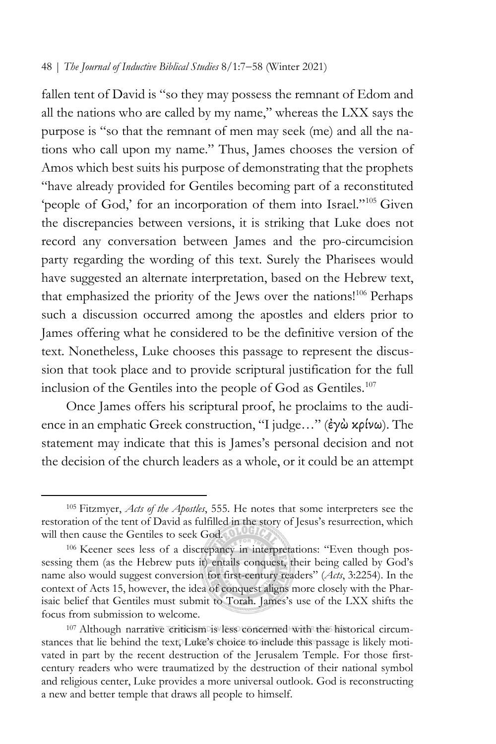fallen tent of David is "so they may possess the remnant of Edom and all the nations who are called by my name," whereas the LXX says the purpose is "so that the remnant of men may seek (me) and all the nations who call upon my name." Thus, James chooses the version of Amos which best suits his purpose of demonstrating that the prophets "have already provided for Gentiles becoming part of a reconstituted 'people of God,' for an incorporation of them into Israel."<sup>[105](#page-41-0)</sup> Given the discrepancies between versions, it is striking that Luke does not record any conversation between James and the pro-circumcision party regarding the wording of this text. Surely the Pharisees would have suggested an alternate interpretation, based on the Hebrew text, that emphasized the priority of the Jews over the nations!<sup>106</sup> Perhaps such a discussion occurred among the apostles and elders prior to James offering what he considered to be the definitive version of the text. Nonetheless, Luke chooses this passage to represent the discussion that took place and to provide scriptural justification for the full inclusion of the Gentiles into the people of God as Gentiles.<sup>[107](#page-41-2)</sup>

Once James offers his scriptural proof, he proclaims to the audience in an emphatic Greek construction, "I judge…" (ἐγὼ κρίνω). The statement may indicate that this is James's personal decision and not the decision of the church leaders as a whole, or it could be an attempt

<span id="page-41-0"></span><sup>105</sup> Fitzmyer, *Acts of the Apostles*, 555. He notes that some interpreters see the restoration of the tent of David as fulfilled in the story of Jesus's resurrection, which will then cause the Gentiles to seek God.

<span id="page-41-1"></span><sup>106</sup> Keener sees less of a discrepancy in interpretations: "Even though possessing them (as the Hebrew puts it) entails conquest, their being called by God's name also would suggest conversion for first-century readers" (*Acts*, 3:2254). In the context of Acts 15, however, the idea of conquest aligns more closely with the Pharisaic belief that Gentiles must submit to Torah. James's use of the LXX shifts the focus from submission to welcome.

<span id="page-41-2"></span><sup>107</sup> Although narrative criticism is less concerned with the historical circumstances that lie behind the text, Luke's choice to include this passage is likely motivated in part by the recent destruction of the Jerusalem Temple. For those firstcentury readers who were traumatized by the destruction of their national symbol and religious center, Luke provides a more universal outlook. God is reconstructing a new and better temple that draws all people to himself.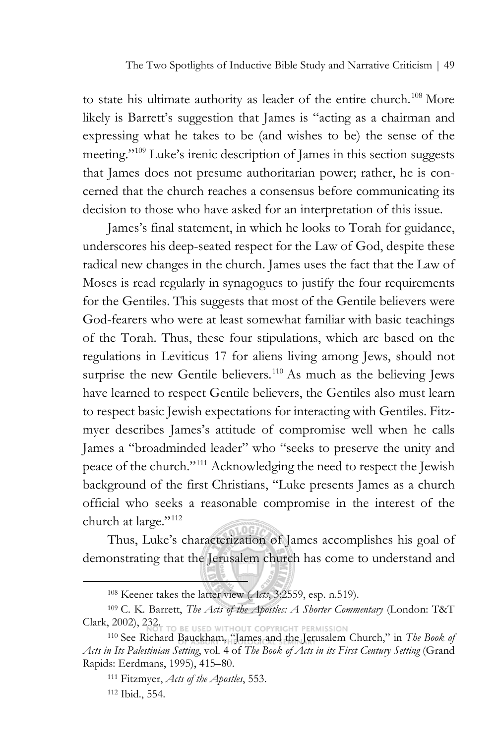to state his ultimate authority as leader of the entire church.<sup>[108](#page-42-0)</sup> More likely is Barrett's suggestion that James is "acting as a chairman and expressing what he takes to be (and wishes to be) the sense of the meeting.["109](#page-42-1) Luke's irenic description of James in this section suggests that James does not presume authoritarian power; rather, he is concerned that the church reaches a consensus before communicating its decision to those who have asked for an interpretation of this issue.

James's final statement, in which he looks to Torah for guidance, underscores his deep-seated respect for the Law of God, despite these radical new changes in the church. James uses the fact that the Law of Moses is read regularly in synagogues to justify the four requirements for the Gentiles. This suggests that most of the Gentile believers were God-fearers who were at least somewhat familiar with basic teachings of the Torah. Thus, these four stipulations, which are based on the regulations in Leviticus 17 for aliens living among Jews, should not surprise the new Gentile believers.<sup>[110](#page-42-2)</sup> As much as the believing Jews have learned to respect Gentile believers, the Gentiles also must learn to respect basic Jewish expectations for interacting with Gentiles. Fitzmyer describes James's attitude of compromise well when he calls James a "broadminded leader" who "seeks to preserve the unity and peace of the church."[111](#page-42-3) Acknowledging the need to respect the Jewish background of the first Christians, "Luke presents James as a church official who seeks a reasonable compromise in the interest of the church at large."[112](#page-42-4)

Thus, Luke's characterization of James accomplishes his goal of demonstrating that the Jerusalem church has come to understand and

<sup>108</sup> Keener takes the latter view (*Acts*, 3:2559, esp. n.519).

<span id="page-42-1"></span><span id="page-42-0"></span><sup>109</sup> C. K. Barrett, *The Acts of the Apostles: A Shorter Commentary* (London: T&T Clark, 2002), 232.

<span id="page-42-4"></span><span id="page-42-3"></span><span id="page-42-2"></span><sup>110</sup> See Richard Bauckham, "James and the Jerusalem Church," in *The Book of Acts in Its Palestinian Setting*, vol. 4 of *The Book of Acts in its First Century Setting* (Grand Rapids: Eerdmans, 1995), 415–80.

<sup>111</sup> Fitzmyer, *Acts of the Apostles*, 553.

<sup>112</sup> Ibid., 554.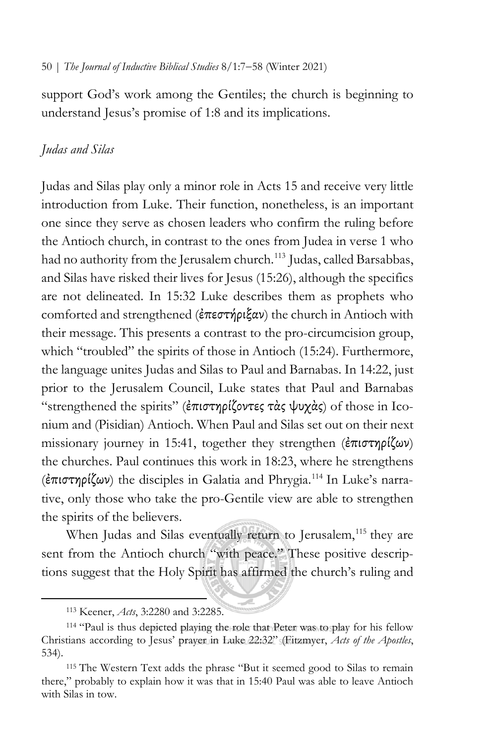support God's work among the Gentiles; the church is beginning to understand Jesus's promise of 1:8 and its implications.

## *Judas and Silas*

Judas and Silas play only a minor role in Acts 15 and receive very little introduction from Luke. Their function, nonetheless, is an important one since they serve as chosen leaders who confirm the ruling before the Antioch church, in contrast to the ones from Judea in verse 1 who had no authority from the Jerusalem church.<sup>[113](#page-43-0)</sup> Judas, called Barsabbas, and Silas have risked their lives for Jesus (15:26), although the specifics are not delineated. In 15:32 Luke describes them as prophets who comforted and strengthened (ἐπεστήριξαν) the church in Antioch with their message. This presents a contrast to the pro-circumcision group, which "troubled" the spirits of those in Antioch (15:24). Furthermore, the language unites Judas and Silas to Paul and Barnabas. In 14:22, just prior to the Jerusalem Council, Luke states that Paul and Barnabas "strengthened the spirits" (ἐπιστηρίζοντες τὰς ψυχὰς) of those in Iconium and (Pisidian) Antioch. When Paul and Silas set out on their next missionary journey in 15:41, together they strengthen (ἐπιστηρίζων) the churches. Paul continues this work in 18:23, where he strengthens (ἐπιστηρίζων) the disciples in Galatia and Phrygia[.114](#page-43-1) In Luke's narrative, only those who take the pro-Gentile view are able to strengthen the spirits of the believers.

When Judas and Silas eventually return to Jerusalem,<sup>[115](#page-43-2)</sup> they are sent from the Antioch church "with peace." These positive descriptions suggest that the Holy Spirit has affirmed the church's ruling and

<sup>113</sup> Keener, *Acts*, 3:2280 and 3:2285.

<span id="page-43-1"></span><span id="page-43-0"></span><sup>114 &</sup>quot;Paul is thus depicted playing the role that Peter was to play for his fellow Christians according to Jesus' prayer in Luke 22:32" (Fitzmyer, *Acts of the Apostles*, 534).

<span id="page-43-2"></span><sup>115</sup> The Western Text adds the phrase "But it seemed good to Silas to remain there," probably to explain how it was that in 15:40 Paul was able to leave Antioch with Silas in tow.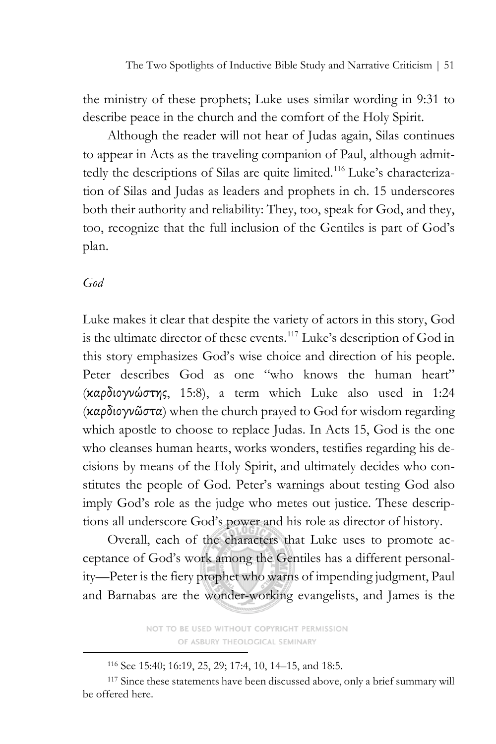the ministry of these prophets; Luke uses similar wording in 9:31 to describe peace in the church and the comfort of the Holy Spirit.

Although the reader will not hear of Judas again, Silas continues to appear in Acts as the traveling companion of Paul, although admit-tedly the descriptions of Silas are quite limited.<sup>[116](#page-44-0)</sup> Luke's characterization of Silas and Judas as leaders and prophets in ch. 15 underscores both their authority and reliability: They, too, speak for God, and they, too, recognize that the full inclusion of the Gentiles is part of God's plan.

### *God*

Luke makes it clear that despite the variety of actors in this story, God is the ultimate director of these events.<sup>[117](#page-44-1)</sup> Luke's description of God in this story emphasizes God's wise choice and direction of his people. Peter describes God as one "who knows the human heart" (καρδιογνώστης, 15:8), a term which Luke also used in 1:24 (καρδιογνῶστα) when the church prayed to God for wisdom regarding which apostle to choose to replace Judas. In Acts 15, God is the one who cleanses human hearts, works wonders, testifies regarding his decisions by means of the Holy Spirit, and ultimately decides who constitutes the people of God. Peter's warnings about testing God also imply God's role as the judge who metes out justice. These descriptions all underscore God's power and his role as director of history.

Overall, each of the characters that Luke uses to promote acceptance of God's work among the Gentiles has a different personality—Peter is the fiery prophet who warns of impending judgment, Paul and Barnabas are the wonder-working evangelists, and James is the

> NOT TO BE USED WITHOUT COPYRIGHT PERMISSION OF ASBURY THEOLOGICAL SEMINARY

<sup>116</sup> See 15:40; 16:19, 25, 29; 17:4, 10, 14–15, and 18:5.

<span id="page-44-1"></span><span id="page-44-0"></span><sup>&</sup>lt;sup>117</sup> Since these statements have been discussed above, only a brief summary will be offered here.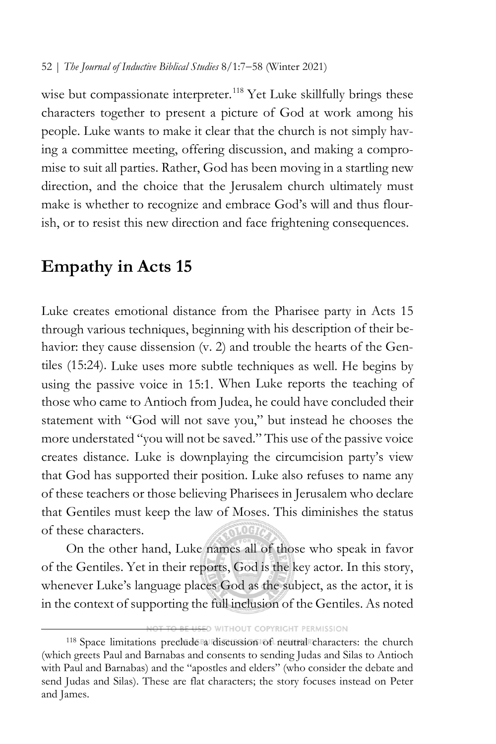wise but compassionate interpreter.<sup>[118](#page-45-0)</sup> Yet Luke skillfully brings these characters together to present a picture of God at work among his people. Luke wants to make it clear that the church is not simply having a committee meeting, offering discussion, and making a compromise to suit all parties. Rather, God has been moving in a startling new direction, and the choice that the Jerusalem church ultimately must make is whether to recognize and embrace God's will and thus flourish, or to resist this new direction and face frightening consequences.

# **Empathy in Acts 15**

Luke creates emotional distance from the Pharisee party in Acts 15 through various techniques, beginning with his description of their behavior: they cause dissension (v. 2) and trouble the hearts of the Gentiles (15:24). Luke uses more subtle techniques as well. He begins by using the passive voice in 15:1. When Luke reports the teaching of those who came to Antioch from Judea, he could have concluded their statement with "God will not save you," but instead he chooses the more understated "you will not be saved." This use of the passive voice creates distance. Luke is downplaying the circumcision party's view that God has supported their position. Luke also refuses to name any of these teachers or those believing Pharisees in Jerusalem who declare that Gentiles must keep the law of Moses. This diminishes the status of these characters.

On the other hand, Luke names all of those who speak in favor of the Gentiles. Yet in their reports, God is the key actor. In this story, whenever Luke's language places God as the subject, as the actor, it is in the context of supporting the full inclusion of the Gentiles. As noted

WITHOUT COPYRIGHT PERMISSION

<span id="page-45-0"></span><sup>118</sup> Space limitations preclude a discussion of neutral characters: the church (which greets Paul and Barnabas and consents to sending Judas and Silas to Antioch with Paul and Barnabas) and the "apostles and elders" (who consider the debate and send Judas and Silas). These are flat characters; the story focuses instead on Peter and James.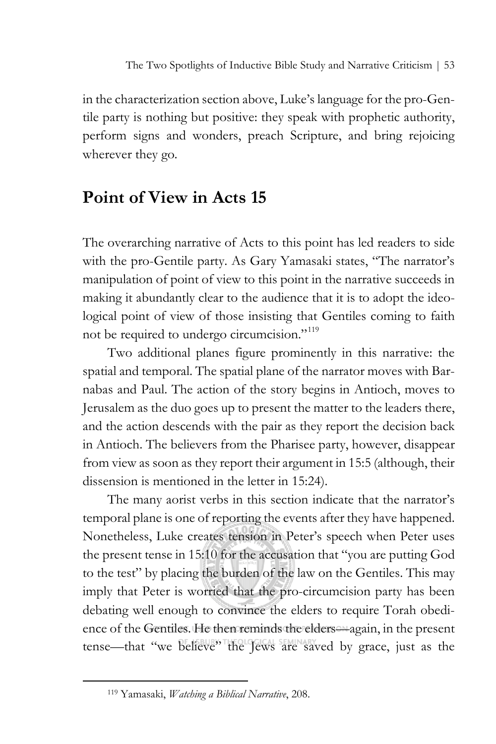in the characterization section above, Luke's language for the pro-Gentile party is nothing but positive: they speak with prophetic authority, perform signs and wonders, preach Scripture, and bring rejoicing wherever they go.

# **Point of View in Acts 15**

The overarching narrative of Acts to this point has led readers to side with the pro-Gentile party. As Gary Yamasaki states, "The narrator's manipulation of point of view to this point in the narrative succeeds in making it abundantly clear to the audience that it is to adopt the ideological point of view of those insisting that Gentiles coming to faith not be required to undergo circumcision."<sup>[119](#page-46-0)</sup>

Two additional planes figure prominently in this narrative: the spatial and temporal. The spatial plane of the narrator moves with Barnabas and Paul. The action of the story begins in Antioch, moves to Jerusalem as the duo goes up to present the matter to the leaders there, and the action descends with the pair as they report the decision back in Antioch. The believers from the Pharisee party, however, disappear from view as soon as they report their argument in 15:5 (although, their dissension is mentioned in the letter in 15:24).

The many aorist verbs in this section indicate that the narrator's temporal plane is one of reporting the events after they have happened. Nonetheless, Luke creates tension in Peter's speech when Peter uses the present tense in 15:10 for the accusation that "you are putting God to the test" by placing the burden of the law on the Gentiles. This may imply that Peter is worried that the pro-circumcision party has been debating well enough to convince the elders to require Torah obedience of the Gentiles. He then reminds the elders—again, in the present tense—that "we believe" the Jews are saved by grace, just as the

<span id="page-46-0"></span><sup>119</sup> Yamasaki, *Watching a Biblical Narrative*, 208.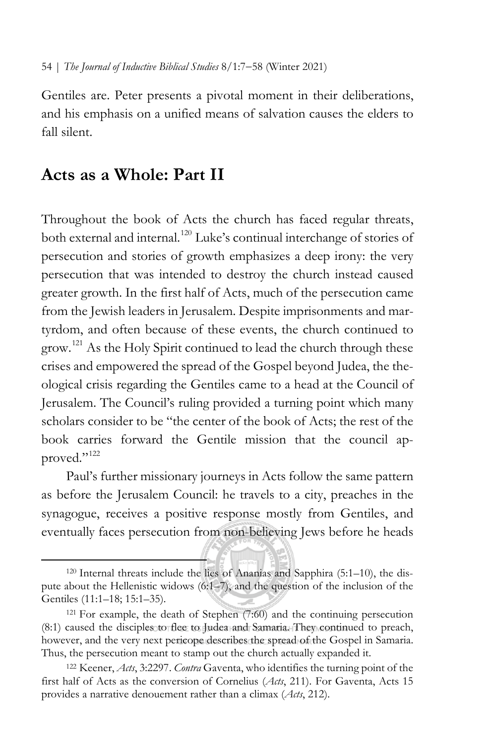Gentiles are. Peter presents a pivotal moment in their deliberations, and his emphasis on a unified means of salvation causes the elders to fall silent.

# **Acts as a Whole: Part II**

Throughout the book of Acts the church has faced regular threats, both external and internal.<sup>[120](#page-47-0)</sup> Luke's continual interchange of stories of persecution and stories of growth emphasizes a deep irony: the very persecution that was intended to destroy the church instead caused greater growth. In the first half of Acts, much of the persecution came from the Jewish leaders in Jerusalem. Despite imprisonments and martyrdom, and often because of these events, the church continued to grow.<sup>[121](#page-47-1)</sup> As the Holy Spirit continued to lead the church through these crises and empowered the spread of the Gospel beyond Judea, the theological crisis regarding the Gentiles came to a head at the Council of Jerusalem. The Council's ruling provided a turning point which many scholars consider to be "the center of the book of Acts; the rest of the book carries forward the Gentile mission that the council ap-proved."<sup>[122](#page-47-2)</sup>

Paul's further missionary journeys in Acts follow the same pattern as before the Jerusalem Council: he travels to a city, preaches in the synagogue, receives a positive response mostly from Gentiles, and eventually faces persecution from non-believing Jews before he heads

<span id="page-47-0"></span><sup>120</sup> Internal threats include the lies of Ananias and Sapphira (5:1–10), the dispute about the Hellenistic widows (6:1–7), and the question of the inclusion of the Gentiles (11:1–18; 15:1–35).

<span id="page-47-1"></span><sup>121</sup> For example, the death of Stephen (7:60) and the continuing persecution (8:1) caused the disciples to flee to Judea and Samaria. They continued to preach, however, and the very next pericope describes the spread of the Gospel in Samaria. Thus, the persecution meant to stamp out the church actually expanded it.

<span id="page-47-2"></span><sup>122</sup> Keener, *Acts*, 3:2297. *Contra* Gaventa, who identifies the turning point of the first half of Acts as the conversion of Cornelius (*Acts*, 211). For Gaventa, Acts 15 provides a narrative denouement rather than a climax (*Acts*, 212).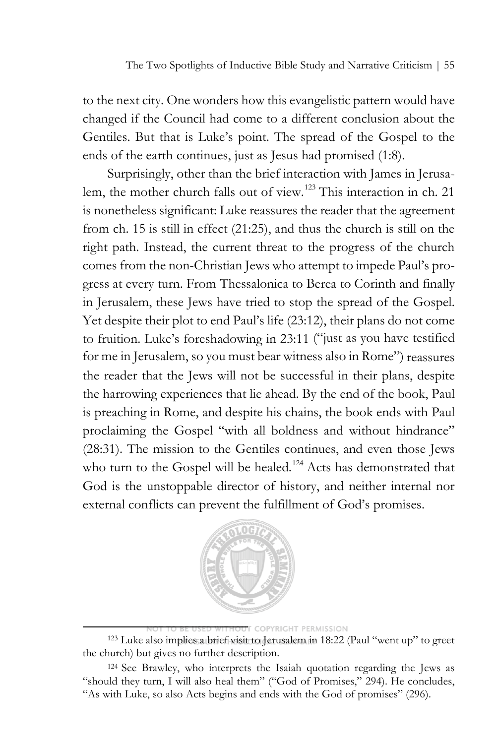to the next city. One wonders how this evangelistic pattern would have changed if the Council had come to a different conclusion about the Gentiles. But that is Luke's point. The spread of the Gospel to the ends of the earth continues, just as Jesus had promised (1:8).

Surprisingly, other than the brief interaction with James in Jerusa-lem, the mother church falls out of view.<sup>[123](#page-48-0)</sup> This interaction in ch. 21 is nonetheless significant: Luke reassures the reader that the agreement from ch. 15 is still in effect (21:25), and thus the church is still on the right path. Instead, the current threat to the progress of the church comes from the non-Christian Jews who attempt to impede Paul's progress at every turn. From Thessalonica to Berea to Corinth and finally in Jerusalem, these Jews have tried to stop the spread of the Gospel. Yet despite their plot to end Paul's life (23:12), their plans do not come to fruition. Luke's foreshadowing in 23:11 ("just as you have testified for me in Jerusalem, so you must bear witness also in Rome") reassures the reader that the Jews will not be successful in their plans, despite the harrowing experiences that lie ahead. By the end of the book, Paul is preaching in Rome, and despite his chains, the book ends with Paul proclaiming the Gospel "with all boldness and without hindrance" (28:31). The mission to the Gentiles continues, and even those Jews who turn to the Gospel will be healed.<sup>[124](#page-48-1)</sup> Acts has demonstrated that God is the unstoppable director of history, and neither internal nor external conflicts can prevent the fulfillment of God's promises.



#### **COPYRIGHT PERMISSION**

<span id="page-48-0"></span><sup>123</sup> Luke also implies a brief visit to Jerusalem in 18:22 (Paul "went up" to greet the church) but gives no further description.

<span id="page-48-1"></span><sup>124</sup> See Brawley, who interprets the Isaiah quotation regarding the Jews as "should they turn, I will also heal them" ("God of Promises," 294). He concludes, "As with Luke, so also Acts begins and ends with the God of promises" (296).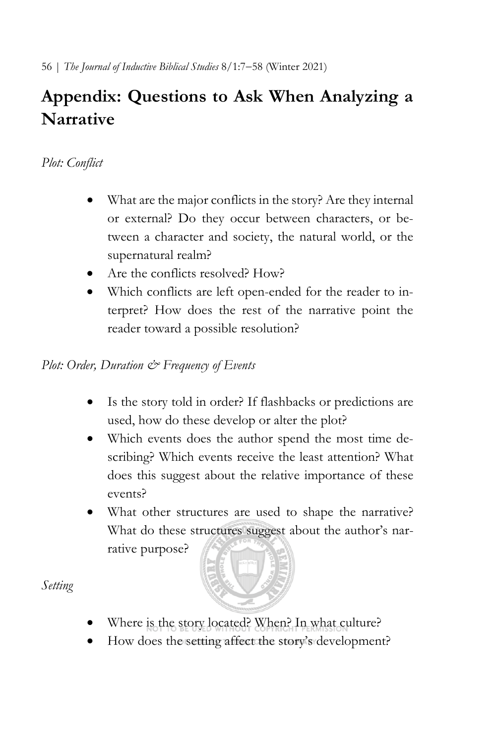# **Appendix: Questions to Ask When Analyzing a Narrative**

## *Plot: Conflict*

- What are the major conflicts in the story? Are they internal or external? Do they occur between characters, or between a character and society, the natural world, or the supernatural realm?
- Are the conflicts resolved? How?
- Which conflicts are left open-ended for the reader to interpret? How does the rest of the narrative point the reader toward a possible resolution?

## *Plot: Order, Duration & Frequency of Events*

- Is the story told in order? If flashbacks or predictions are used, how do these develop or alter the plot?
- Which events does the author spend the most time describing? Which events receive the least attention? What does this suggest about the relative importance of these events?
- What other structures are used to shape the narrative? What do these structures suggest about the author's narrative purpose?

- Where is the story located? When? In what culture?
- How does the setting affect the story's development?

*Setting*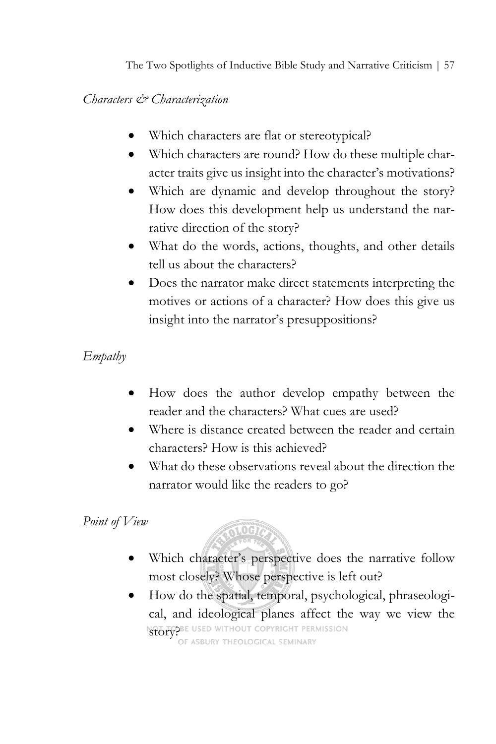The Two Spotlights of Inductive Bible Study and Narrative Criticism | 57

## *Characters & Characterization*

- Which characters are flat or stereotypical?
- Which characters are round? How do these multiple character traits give us insight into the character's motivations?
- Which are dynamic and develop throughout the story? How does this development help us understand the narrative direction of the story?
- What do the words, actions, thoughts, and other details tell us about the characters?
- Does the narrator make direct statements interpreting the motives or actions of a character? How does this give us insight into the narrator's presuppositions?

## *Empathy*

- How does the author develop empathy between the reader and the characters? What cues are used?
- Where is distance created between the reader and certain characters? How is this achieved?
- What do these observations reveal about the direction the narrator would like the readers to go?

## *Point of View*



- Which character's perspective does the narrative follow most closely? Whose perspective is left out?
- How do the spatial, temporal, psychological, phraseological, and ideological planes affect the way we view the NOT TO BE USED WITHOUT COPYRIGHT PERMISSION<br>OF ASBURY THEOLOGICAL SEMINARY